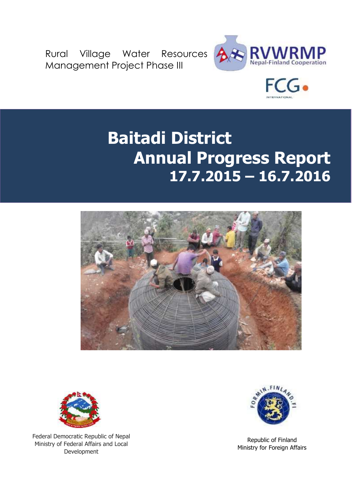Rural Village Water Resources Management Project Phase III





# **Baitadi District Annual Progress Report 17.7.2015 – 16.7.2016**





Federal Democratic Republic of Nepal Ministry of Federal Affairs and Local Development



Republic of Finland Ministry for Foreign Affairs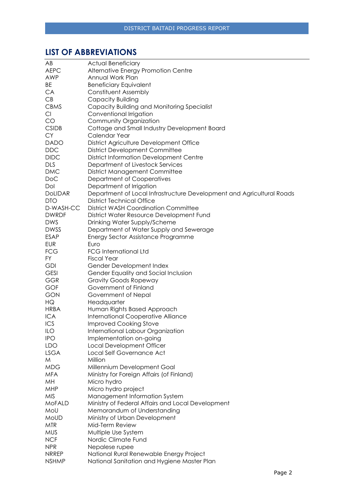# <span id="page-1-0"></span>**LIST OF ABBREVIATIONS**

| AB             | <b>Actual Beneficiary</b>                                             |
|----------------|-----------------------------------------------------------------------|
| <b>AEPC</b>    | Alternative Energy Promotion Centre                                   |
| AWP            | Annual Work Plan                                                      |
| BE             | <b>Beneficiary Equivalent</b>                                         |
| CA             | <b>Constituent Assembly</b>                                           |
| CB             | Capacity Building                                                     |
| <b>CBMS</b>    | Capacity Building and Monitoring Specialist                           |
|                |                                                                       |
| Cl             | Conventional Irrigation                                               |
| CO             | Community Organization                                                |
| <b>CSIDB</b>   | Cottage and Small Industry Development Board                          |
| <b>CY</b>      | Calendar Year                                                         |
| <b>DADO</b>    | District Agriculture Development Office                               |
| <b>DDC</b>     | <b>District Development Committee</b>                                 |
| <b>DIDC</b>    | <b>District Information Development Centre</b>                        |
| <b>DLS</b>     | Department of Livestock Services                                      |
| <b>DMC</b>     | <b>District Management Committee</b>                                  |
|                |                                                                       |
| <b>DoC</b>     | Department of Cooperatives                                            |
| Dol            | Department of Irrigation                                              |
| <b>DoLIDAR</b> | Department of Local Infrastructure Development and Agricultural Roads |
| <b>DTO</b>     | District Technical Office                                             |
| D-WASH-CC      | <b>District WASH Coordination Committee</b>                           |
| <b>DWRDF</b>   | District Water Resource Development Fund                              |
| <b>DWS</b>     | Drinking Water Supply/Scheme                                          |
| <b>DWSS</b>    | Department of Water Supply and Sewerage                               |
| <b>ESAP</b>    | Energy Sector Assistance Programme                                    |
| <b>EUR</b>     | Euro                                                                  |
|                |                                                                       |
| <b>FCG</b>     | <b>FCG International Ltd</b>                                          |
| FY.            | <b>Fiscal Year</b>                                                    |
| <b>GDI</b>     | Gender Development Index                                              |
| <b>GESI</b>    | Gender Equality and Social Inclusion                                  |
| <b>GGR</b>     | <b>Gravity Goods Ropeway</b>                                          |
| <b>GOF</b>     | Government of Finland                                                 |
| <b>GON</b>     | Government of Nepal                                                   |
| HG             | Headquarter                                                           |
| <b>HRBA</b>    | Human Rights Based Approach                                           |
| <b>ICA</b>     |                                                                       |
|                | <b>International Cooperative Alliance</b>                             |
| ICS            | <b>Improved Cooking Stove</b>                                         |
| <b>ILO</b>     | International Labour Organization                                     |
| <b>IPO</b>     | Implementation on-going                                               |
| <b>LDO</b>     | Local Development Officer                                             |
| <b>LSGA</b>    | Local Self Governance Act                                             |
| M              | Million                                                               |
| <b>MDG</b>     | Millennium Development Goal                                           |
| <b>MFA</b>     | Ministry for Foreign Affairs (of Finland)                             |
| MH             | Micro hydro                                                           |
|                |                                                                       |
| MHP            | Micro hydro project                                                   |
| <b>MIS</b>     | Management Information System                                         |
| <b>MoFALD</b>  | Ministry of Federal Affairs and Local Development                     |
| MoU            | Memorandum of Understanding                                           |
| MoUD           | Ministry of Urban Development                                         |
| <b>MTR</b>     | Mid-Term Review                                                       |
| <b>MUS</b>     | Multiple Use System                                                   |
| <b>NCF</b>     | Nordic Climate Fund                                                   |
| <b>NPR</b>     | Nepalese rupee                                                        |
|                |                                                                       |
| <b>NRREP</b>   | National Rural Renewable Energy Project                               |
| <b>NSHMP</b>   | National Sanitation and Hygiene Master Plan                           |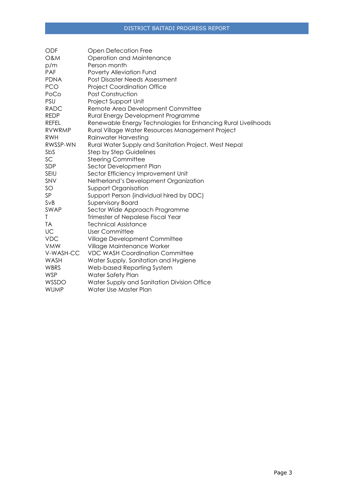| Open Defecation Free                                          |
|---------------------------------------------------------------|
| Operation and Maintenance                                     |
| Person month                                                  |
| Poverty Alleviation Fund                                      |
| Post Disaster Needs Assessment                                |
| <b>Project Coordination Office</b>                            |
| Post Construction                                             |
| Project Support Unit                                          |
| Remote Area Development Committee                             |
| Rural Energy Development Programme                            |
| Renewable Energy Technologies for Enhancing Rural Livelihoods |
| Rural Village Water Resources Management Project              |
| Rainwater Harvesting                                          |
| Rural Water Supply and Sanitation Project, West Nepal         |
| <b>Step by Step Guidelines</b>                                |
| <b>Steering Committee</b>                                     |
| Sector Development Plan                                       |
| Sector Efficiency Improvement Unit                            |
| Netherland's Development Organization                         |
| <b>Support Organisation</b>                                   |
| Support Person (individual hired by DDC)                      |
| <b>Supervisory Board</b>                                      |
| Sector Wide Approach Programme                                |
| Trimester of Nepalese Fiscal Year                             |
| <b>Technical Assistance</b>                                   |
| User Committee                                                |
| Village Development Committee                                 |
| Village Maintenance Worker                                    |
| <b>VDC WASH Coordination Committee</b>                        |
| Water Supply, Sanitation and Hygiene                          |
| Web-based Reporting System                                    |
| Water Safety Plan                                             |
| Water Supply and Sanitation Division Office                   |
| Water Use Master Plan                                         |
|                                                               |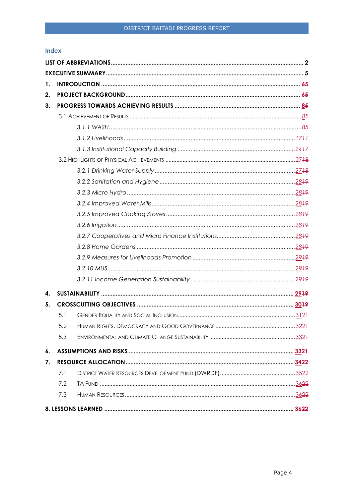## Index

| 1.                 |     |  |
|--------------------|-----|--|
| 2.                 |     |  |
| 3.                 |     |  |
|                    |     |  |
|                    |     |  |
|                    |     |  |
|                    |     |  |
|                    |     |  |
|                    |     |  |
|                    |     |  |
|                    |     |  |
|                    |     |  |
|                    |     |  |
|                    |     |  |
|                    |     |  |
|                    |     |  |
|                    |     |  |
|                    |     |  |
|                    |     |  |
| 4.                 |     |  |
| 5.                 |     |  |
|                    | 5.1 |  |
|                    | 5.2 |  |
|                    | 5.3 |  |
| $\boldsymbol{6}$ . |     |  |
| 7.                 |     |  |
|                    | 7.1 |  |
|                    | 7.2 |  |
|                    | 7.3 |  |
|                    |     |  |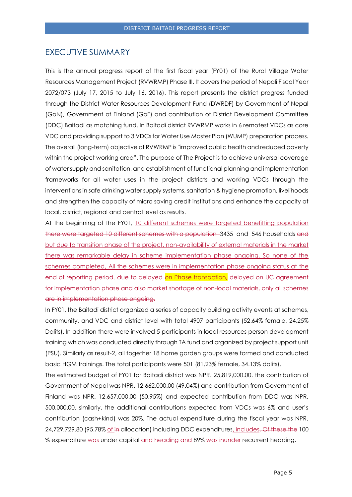## <span id="page-4-0"></span>EXECUTIVE SUMMARY

This is the annual progress report of the first fiscal year (FY01) of the Rural Village Water Resources Management Project (RVWRMP) Phase III. It covers the period of Nepali Fiscal Year 2072/073 (July 17, 2015 to July 16, 2016). This report presents the district progress funded through the District Water Resources Development Fund (DWRDF) by Government of Nepal (GoN), Government of Finland (GoF) and contribution of District Development Committee (DDC) Baitadi as matching fund. In Baitadi district RVWRMP works in 6 remotest VDCs as core VDC and providing support to 3 VDCs for Water Use Master Plan (WUMP) preparation process. The overall (long-term) objective of RVWRMP is "improved public health and reduced poverty within the project working area". The purpose of The Project is to achieve universal coverage of water supply and sanitation, and establishment of functional planning and implementation frameworks for all water uses in the project districts and working VDCs through the interventions in safe drinking water supply systems, sanitation & hygiene promotion, livelihoods and strengthen the capacity of micro saving credit institutions and enhance the capacity at local, district, regional and central level as results.

At the beginning of the FY01, 10 different schemes were targeted benefitting population there were targeted 10 different schemes with a population 3435 and 546 households and but due to transition phase of the project, non-availability of external materials in the market there was remarkable delay in scheme implementation phase ongoing. So none of the schemes completed, All the schemes were in implementation phase ongoing status at the end of reporting period. due to delayed on Phase transaction, delayed on UC agreement for implementation phase and also market shortage of non-local materials, only all schemes are in implementation phase ongoing.

In FY01, the Baitadi district organized a series of capacity building activity events at schemes, community, and VDC and district level with total 4907 participants (52.64% female, 24.25% Dalits). In addition there were involved 5 participants in local resources person development training which was conducted directly through TA fund and organized by project support unit (PSU). Similarly as result-2, all together 18 home garden groups were formed and conducted basic HGM trainings. The total participants were 501 (81.23% female, 34.13% dalits).

The estimated budget of FY01 for Baitadi district was NPR. 25,819,000.00. the contribution of Government of Nepal was NPR. 12,662,000.00 (49.04%) and contribution from Government of Finland was NPR. 12,657,000.00 (50.95%) and expected contribution from DDC was NPR. 500,000.00. similarly, the additional contributions expected from VDCs was 6% and user's contribution (cash+kind) was 20%. The actual expenditure during the fiscal year was NPR. 24,729,729.80 (95.78% of in allocation) including DDC expenditures, includes. Of these the 100 % expenditure was under capital and heading and 89% was inunder recurrent heading.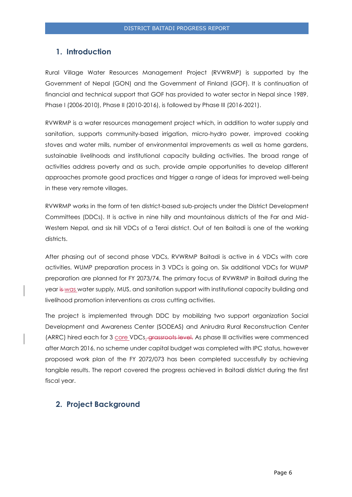## <span id="page-5-0"></span>**1. Introduction**

Rural Village Water Resources Management Project (RVWRMP) is supported by the Government of Nepal (GON) and the Government of Finland (GOF). It is continuation of financial and technical support that GOF has provided to water sector in Nepal since 1989. Phase I (2006-2010), Phase II (2010-2016), is followed by Phase III (2016-2021).

RVWRMP is a water resources management project which, in addition to water supply and sanitation, supports community-based irrigation, micro-hydro power, improved cooking stoves and water mills, number of environmental improvements as well as home gardens, sustainable livelihoods and institutional capacity building activities. The broad range of activities address poverty and as such, provide ample opportunities to develop different approaches promote good practices and trigger a range of ideas for improved well-being in these very remote villages.

RVWRMP works in the form of ten district-based sub-projects under the District Development Committees (DDCs). It is active in nine hilly and mountainous districts of the Far and Mid-Western Nepal, and six hill VDCs of a Terai district. Out of ten Baitadi is one of the working districts.

After phasing out of second phase VDCs, RVWRMP Baitadi is active in 6 VDCs with core activities. WUMP preparation process in 3 VDCs is going on. Six additional VDCs for WUMP preparation are planned for FY 2073/74. The primary focus of RVWRMP in Baitadi during the year is was water supply, MUS, and sanitation support with institutional capacity building and livelihood promotion interventions as cross cutting activities.

The project is implemented through DDC by mobilizing two support organization Social Development and Awareness Center (SODEAS) and Anirudra Rural Reconstruction Center (ARRC) hired each for 3 core VDCs. grassroots level. As phase III activities were commenced after March 2016, no scheme under capital budget was completed with IPC status, however proposed work plan of the FY 2072/073 has been completed successfully by achieving tangible results. The report covered the progress achieved in Baitadi district during the first fiscal year.

## <span id="page-5-1"></span>**2. Project Background**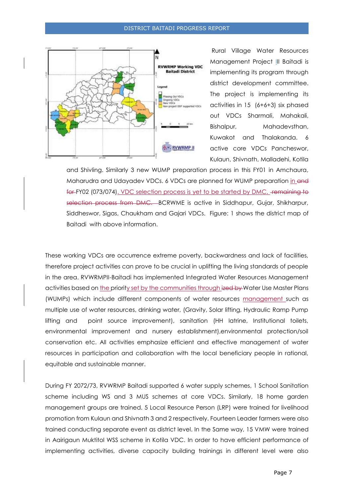

Rural Village Water Resources Management Project III Baitadi is implementing its program through district development committee. The project is implementing its activities in 15 (6+6+3) six phased out VDCs Sharmali, Mahakali, Bishalpur, Mahadevsthan, Kuwakot and Thalakanda. 6 active core VDCs Pancheswor, Kulaun, Shivnath, Malladehi, Kotila

and Shivling. Similarly 3 new WUMP preparation process in this FY01 in Amchaura, Maharudra and Udayadev VDCs. 6 VDCs are planned for WUMP preparation in and for FY02 (073/074). VDC selection process is yet to be started by DMC. <del>remaining to</del> selection process from DMC. BCRWME is active in Siddhapur, Gujar, Shikharpur, Siddheswor, Sigas, Chaukham and Gajari VDCs. Figure: 1 shows the district map of Baitadi with above information.

These working VDCs are occurrence extreme poverty, backwardness and lack of facilities, therefore project activities can prove to be crucial in uplifting the living standards of people in the area. RVWRMPII-Baitadi has implemented Integrated Water Resources Management activities based on the priority set by the communities through ized by Water Use Master Plans (WUMPs) which include different components of water resources management such as multiple use of water resources, drinking water, (Gravity, Solar lifting, Hydraulic Ramp Pump lifting and point source improvement), sanitation (HH latrine, Institutional toilets, environmental improvement and nursery establishment),environmental protection/soil conservation etc. All activities emphasize efficient and effective management of water resources in participation and collaboration with the local beneficiary people in rational, equitable and sustainable manner.

During FY 2072/73, RVWRMP Baitadi supported 6 water supply schemes, 1 School Sanitation scheme including WS and 3 MUS schemes at core VDCs. Similarly, 18 home garden management groups are trained. 5 Local Resource Person (LRP) were trained for livelihood promotion from Kulaun and Shivnath 3 and 2 respectively. Fourteen Leader farmers were also trained conducting separate event as district level. In the Same way, 15 VMW were trained in Aairigaun Muktitol WSS scheme in Kotila VDC. In order to have efficient performance of implementing activities, diverse capacity building trainings in different level were also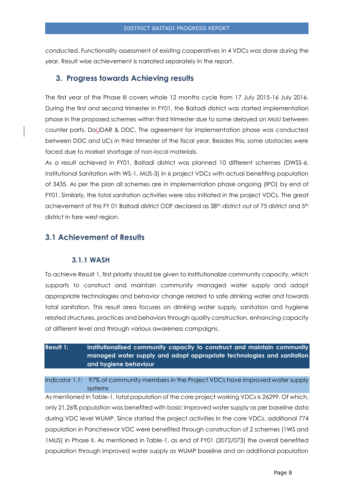conducted. Functionality assessment of existing cooperatives in 4 VDCs was done during the year. Result wise achievement is narrated separately in the report.

#### <span id="page-7-0"></span>**3. Progress towards Achieving results**

The first year of the Phase III covers whole 12 months cycle from 17 July 2015-16 July 2016. During the first and second trimester in FY01, the Baitadi district was started implementation phase in the proposed schemes within third trimester due to some delayed on MoU between counter parts, DoLlDAR & DDC. The agreement for implementation phase was conducted between DDC and UCs in third trimester of the fiscal year. Besides this, some obstacles were faced due to market shortage of non-local materials.

As a result achieved in FY01, Baitadi district was planned 10 different schemes (DWSS-6, Institutional Sanitation with WS-1, MUS-3) in 6 project VDCs with actual benefiting population of 3435. As per the plan all schemes are in implementation phase ongoing (IPO) by end of FY01. Similarly, the total sanitation activities were also initiated in the project VDCs. The great achievement of this FY 01 Baitadi district ODF declared as 38<sup>th</sup> district out of 75 district and 5<sup>th</sup> district in fare west region.

## <span id="page-7-1"></span>**3.1 Achievement of Results**

#### **3.1.1 WASH**

<span id="page-7-2"></span>To achieve Result 1, first priority should be given to institutionalize community capacity, which supports to construct and maintain community managed water supply and adopt appropriate technologies and behavior change related to safe drinking water and towards total sanitation. This result area focuses on drinking water supply, sanitation and hygiene related structures, practices and behaviors through quality construction, enhancing capacity at different level and through various awareness campaigns.

**Result 1: Institutionalised community capacity to construct and maintain community managed water supply and adopt appropriate technologies and sanitation and hygiene behaviour** 

Indicator 1.1: 97% of community members in the Project VDCs have improved water supply systems

As mentioned in Table-1, total population of the core project working VDCs is 26299. Of which, only 21.26% population was benefited with basic improved water supply as per baseline data during VDC level WUMP. Since started the project activities in the core VDCs, additional 774 population in Pancheswor VDC were benefited through construction of 2 schemes (1WS and 1MUS) in Phase II. As mentioned in Table-1, as end of FY01 (2072/073) the overall benefited population through improved water supply as WUMP baseline and an additional population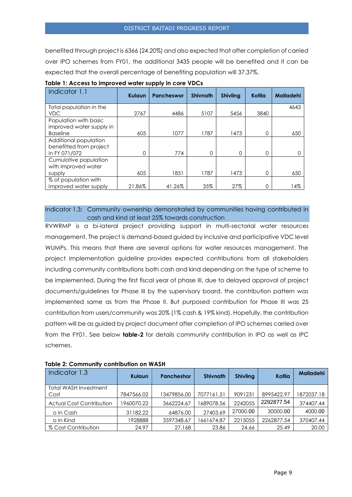benefited through project is 6366 (24.20%) and also expected that after completion of carried over IPO schemes from FY01, the additional 3435 people will be benefited and it can be expected that the overall percentage of benefiting population will 37.37%.

| Indicator 1.1                                                        | Kulaun | <b>Pancheswor</b> | <b>Shivnath</b> | <b>Shivling</b> | Kotila | <b>Malladehi</b> |
|----------------------------------------------------------------------|--------|-------------------|-----------------|-----------------|--------|------------------|
| Total population in the<br><b>VDC</b>                                | 2767   | 4486              | 5107            | 5456            | 3840   | 4643             |
| Population with basic<br>improved water supply in<br><b>Baseline</b> | 605    | 1077              | 1787            | 1473            | 0      | 650              |
| Additional population<br>benefitted from project<br>in FY 071/072    | 0      | 774               | $\Omega$        | 0               | 0      |                  |
| Cumulative population<br>with improved water<br>supply               | 605    | 1851              | 1787            | 1473            | 0      | 650              |
| % of population with<br>improved water supply                        | 21.86% | 41.26%            | 35%             | 27%             | 0      | 14%              |

#### **Table 1: Access to improved water supply in core VDCs**

Indicator 1.3: Community ownership demonstrated by communities having contributed in cash and kind at least 25% towards construction

RVWRMP is a bi-lateral project providing support in multi-sectorial water resources management. The project is demand-based guided by inclusive and participative VDC level WUMPs. This means that there are several options for water resources management. The project implementation guideline provides expected contributions from all stakeholders including community contributions both cash and kind depending on the type of scheme to be implemented. During the first fiscal year of phase III, due to delayed approval of project documents/guidelines for Phase III by the supervisory board, the contribution pattern was implemented same as from the Phase II. But purposed contribution for Phase III was 25 contribution from users/community was 20% (1% cash & 19% kind). Hopefully, the contribution pattern will be as guided by project document after completion of IPO schemes carried over from the FY01. See below **table-2** for details community contribution in IPO as well as IPC schemes.

| Indicator 1.3                   | Kulaun     | <b>Pancheshor</b> | <b>Shivnath</b> | <b>Shivling</b> | Kotila     | <b>Malladehi</b> |
|---------------------------------|------------|-------------------|-----------------|-----------------|------------|------------------|
| Total WASH Investment           |            |                   |                 |                 |            |                  |
| Cost                            | 7847566.02 | 13479856.00       | 7077161.51      | 9091231         | 8995422.97 | 1872037.18       |
| <b>Actual Cost Contribution</b> | 960070.22  | 3662224.67        | 1689078.56      | 2242055         | 2292877.54 | 374407.44        |
| o In Cash                       | 31182.22   | 64876.00          | 27403.69        | 27000.00        | 30000.00   | 4000.00          |
| o In Kind                       | 1928888    | 3597348.67        | 1661674.87      | 2215055         | 2262877.54 | 370407.44        |
| % Cost Contribution             | 24.97      | 27.168            | 23.86           | 24.66           | 25.49      | 20.00            |

**Table 2: Community contribution on WASH**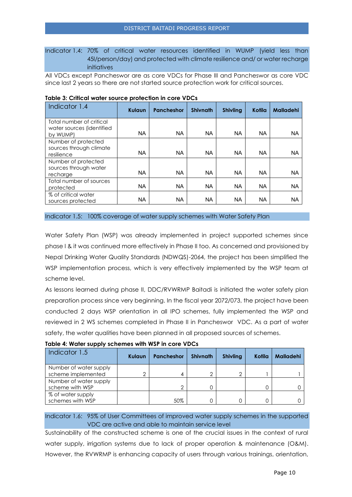## Indicator 1.4: 70% of critical water resources identified in WUMP (yield less than 45l/person/day) and protected with climate resilience and/ or water recharge initiatives

All VDCs except Pancheswor are as core VDCs for Phase III and Pancheswor as core VDC since last 2 years so there are not started source protection work for critical sources.

| Indicator 1.4                                                     | Kulaun    | <b>Pancheshor</b> | <b>Shivnath</b> | <b>Shivling</b> | Kotila    | <b>Malladehi</b> |
|-------------------------------------------------------------------|-----------|-------------------|-----------------|-----------------|-----------|------------------|
| Total number of critical<br>water sources (identified<br>by WUMP) | <b>NA</b> | <b>NA</b>         | <b>NA</b>       | <b>NA</b>       | <b>NA</b> | <b>NA</b>        |
| Number of protected<br>sources through climate<br>resilience      | <b>NA</b> | <b>NA</b>         | <b>NA</b>       | <b>NA</b>       | <b>NA</b> | NA               |
| Number of protected<br>sources through water<br>recharge          | NA        | NA                | <b>NA</b>       | <b>NA</b>       | <b>NA</b> | NA               |
| Total number of sources<br>protected                              | <b>NA</b> | <b>NA</b>         | <b>NA</b>       | <b>NA</b>       | <b>NA</b> | <b>NA</b>        |
| % of critical water<br>sources protected                          | NA        | NA                | <b>NA</b>       | NA              | NA        | NA               |

#### **Table 3: Critical water source protection in core VDCs**

Indicator 1.5: 100% coverage of water supply schemes with Water Safety Plan

Water Safety Plan (WSP) was already implemented in project supported schemes since phase I & it was continued more effectively in Phase II too. As concerned and provisioned by Nepal Drinking Water Quality Standards (NDWQS)-2064, the project has been simplified the WSP implementation process, which is very effectively implemented by the WSP team at scheme level.

As lessons learned during phase II, DDC/RVWRMP Baitadi is initiated the water safety plan preparation process since very beginning. In the fiscal year 2072/073, the project have been conducted 2 days WSP orientation in all IPO schemes, fully implemented the WSP and reviewed in 2 WS schemes completed in Phase II in Pancheswor VDC. As a part of water safety, the water qualities have been planned in all proposed sources of schemes.

| Indicator 1.5                                | Kulaun | <b>Pancheshor</b> | <b>Shivnath</b> | <b>Shivling</b> | Kotila | <b>Malladehi</b> |
|----------------------------------------------|--------|-------------------|-----------------|-----------------|--------|------------------|
| Number of water supply<br>scheme implemented | ╭      |                   |                 | ↷               |        |                  |
| Number of water supply<br>scheme with WSP    |        |                   |                 |                 |        |                  |
| % of water supply<br>schemes with WSP        |        | 50%               |                 | Ω               |        |                  |

**Table 4: Water supply schemes with WSP in core VDCs**

Indicator 1.6: 95% of User Committees of improved water supply schemes in the supported VDC are active and able to maintain service level

Sustainability of the constructed scheme is one of the crucial issues in the context of rural water supply, irrigation systems due to lack of proper operation & maintenance (O&M). However, the RVWRMP is enhancing capacity of users through various trainings, orientation,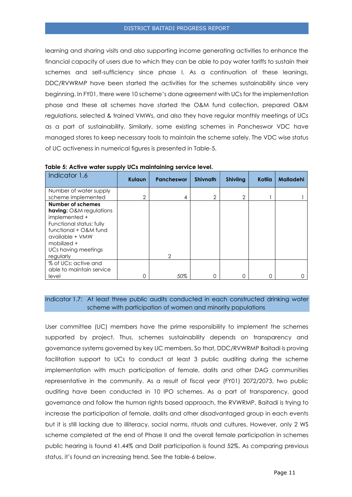learning and sharing visits and also supporting income generating activities to enhance the financial capacity of users due to which they can be able to pay water tariffs to sustain their schemes and self-sufficiency since phase I. As a continuation of these leanings, DDC/RVWRMP have been started the activities for the schemes sustainability since very beginning. In FY01, there were 10 scheme's done agreement with UCs for the implementation phase and these all schemes have started the O&M fund collection, prepared O&M regulations, selected & trained VMWs, and also they have regular monthly meetings of UCs as a part of sustainability. Similarly, some existing schemes in Pancheswor VDC have managed stores to keep necessary tools to maintain the scheme safely. The VDC wise status of UC activeness in numerical figures is presented in Table-5.

| Indicator 1.6                                                                                                                                                                                   | <b>Kulaun</b>  | <b>Pancheswor</b> | <b>Shivnath</b> | <b>Shivling</b> | Kotila | <b>Malladehi</b> |
|-------------------------------------------------------------------------------------------------------------------------------------------------------------------------------------------------|----------------|-------------------|-----------------|-----------------|--------|------------------|
| Number of water supply<br>scheme implemented                                                                                                                                                    | $\overline{2}$ | 4                 | $\overline{2}$  | 2               |        |                  |
| <b>Number of schemes</b><br>having: O&M regulations<br>implemented +<br>Functional status: fully<br>functional + O&M fund<br>available + VMW<br>mobilized +<br>UCs having meetings<br>regularly |                | $\mathcal{P}$     |                 |                 |        |                  |
| % of UCs: active and<br>able to maintain service<br>level                                                                                                                                       | 0              | 50%               | O               | O               | 0      | O                |

**Table 5: Active water supply UCs maintaining service level.**

Indicator 1.7: At least three public audits conducted in each constructed drinking water scheme with participation of women and minority populations

User committee (UC) members have the prime responsibility to implement the schemes supported by project. Thus, schemes sustainability depends on transparency and governance systems governed by key UC members. So that, DDC/RVWRMP Baitadi is proving facilitation support to UCs to conduct at least 3 public auditing during the scheme implementation with much participation of female, dalits and other DAG communities representative in the community. As a result of fiscal year (FY01) 2072/2073, two public auditing have been conducted in 10 IPO schemes. As a part of transparency, good governance and follow the human rights based approach, the RVWRMP, Baitadi is trying to increase the participation of female, dalits and other disadvantaged group in each events but it is still lacking due to illiteracy, social norms, rituals and cultures. However, only 2 WS scheme completed at the end of Phase II and the overall female participation in schemes public hearing is found 41.44% and Dalit participation is found 52%. As comparing previous status, it's found an increasing trend. See the table-6 below.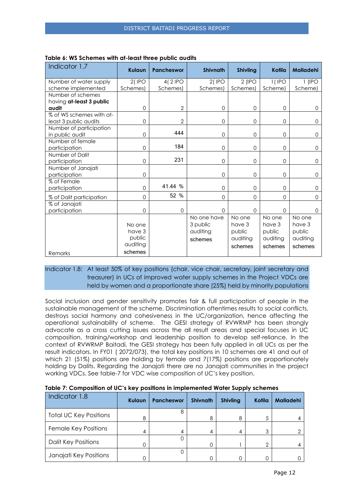| Indicator 1.7                                     | Kulaun                                            | <b>Pancheswor</b> | <b>Shivnath</b>                                | <b>Shivling</b>                                   | Kotila                                            | <b>Malladehi</b>                                  |
|---------------------------------------------------|---------------------------------------------------|-------------------|------------------------------------------------|---------------------------------------------------|---------------------------------------------------|---------------------------------------------------|
| Number of water supply                            | $2($ IPO                                          | 4(2 IPO           | $2$ (IPO                                       | $2$ (IPO                                          | $1$ ( IPO                                         | $1$ (IPO                                          |
| scheme implemented                                | Schemes)                                          | Schemes)          | Schemes)                                       | Schemes)                                          | Scheme)                                           | Scheme)                                           |
| Number of schemes                                 |                                                   |                   |                                                |                                                   |                                                   |                                                   |
| having at-least 3 public                          |                                                   |                   |                                                |                                                   |                                                   |                                                   |
| audit                                             | $\mathbf{0}$                                      | $\overline{2}$    | $\mathbf{O}$                                   | 0                                                 | 0                                                 | 0                                                 |
| % of WS schemes with at-<br>least 3 public audits | $\Omega$                                          | $\overline{2}$    | 0                                              | $\Omega$                                          | $\Omega$                                          | $\Omega$                                          |
| Number of participation<br>in public audit        | $\mathcal{O}$                                     | 444               | 0                                              | $\mathbf 0$                                       | $\mathbf 0$                                       | $\mathbf{0}$                                      |
| Number of female<br>participation                 | $\Omega$                                          | 184               | 0                                              | $\Omega$                                          | $\Omega$                                          | $\mathbf{0}$                                      |
| Number of Dalit<br>participation                  | $\mathbf 0$                                       | 231               | 0                                              | $\mathbf 0$                                       | $\mathbf 0$                                       | $\mathbf{0}$                                      |
| Number of Janajati<br>participation               | $\mathbf 0$                                       |                   | 0                                              | 0                                                 | 0                                                 | $\Omega$                                          |
| % of Female<br>participation                      | $\Omega$                                          | 41.44 %           | $\Omega$                                       | $\Omega$                                          | $\Omega$                                          | $\Omega$                                          |
| % of Dalit participation                          | $\Omega$                                          | 52 %              | 0                                              | $\Omega$                                          | $\Omega$                                          | $\Omega$                                          |
| % of Janajati<br>participation                    | $\mathbf{0}$                                      | $\mathbf 0$       | 0                                              | $\Omega$                                          | $\Omega$                                          | $\Omega$                                          |
| Remarks                                           | No one<br>have 3<br>public<br>auditing<br>schemes |                   | No one have<br>3 public<br>auditing<br>schemes | No one<br>have 3<br>public<br>auditing<br>schemes | No one<br>have 3<br>public<br>auditing<br>schemes | No one<br>have 3<br>public<br>auditing<br>schemes |

| Table 6: WS Schemes with at-least three public audits |  |  |  |  |  |  |
|-------------------------------------------------------|--|--|--|--|--|--|
|-------------------------------------------------------|--|--|--|--|--|--|

## Indicator 1.8: At least 50% of key positions (chair, vice chair, secretary, joint secretary and treasurer) in UCs of improved water supply schemes in the Project VDCs are held by women and a proportionate share (25%) held by minority populations

Social inclusion and gender sensitivity promotes fair & full participation of people in the sustainable management of the scheme. Discrimination oftentimes results to social conflicts, destroys social harmony and cohesiveness in the UC/organization, hence affecting the operational sustainability of scheme. The GESI strategy of RVWRMP has been strongly advocate as a cross cutting issues across the all result areas and special focuses in UC composition, training/workshop and leadership position to develop self-reliance. In the context of RVWRMP Baitadi, the GESI strategy has been fully applied in all UCs as per the result indicators. In FY01 ( 2072/073), the total key positions in 10 schemes are 41 and out of which 21 (51%) positions are holding by female and 7(17%) positions are proportionately holding by Dalits. Regarding the Janajati there are no Janajati communities in the project working VDCs. See table-7 for VDC wise composition of UC's key position.

| Indicator 1.8                 | Kulaun | Pancheswor | <b>Shivnath</b> | <b>Shivling</b> | Kotila | <b>Malladehi</b> |
|-------------------------------|--------|------------|-----------------|-----------------|--------|------------------|
| <b>Total UC Key Positions</b> | 8      |            | 8               | 8               |        |                  |
| Female Key Positions          | 4      |            | 4               | 4               | 3      |                  |
| <b>Dalit Key Positions</b>    |        |            | 0               |                 | 2      |                  |
| Janajati Key Positions        |        |            |                 |                 |        |                  |

**Table 7: Composition of UC's key positions in implemented Water Supply schemes**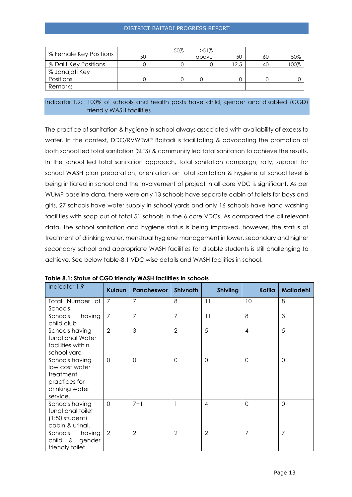#### DISTRICT BAITADI PROGRESS REPORT

| % Female Key Positions |    | 50% | $>51\%$ |      |    |      |
|------------------------|----|-----|---------|------|----|------|
|                        | 50 |     | above   | 50   | 60 | 50%  |
| % Dalit Key Positions  |    |     |         | 12.5 | 40 | 100% |
| % Janajati Key         |    |     |         |      |    |      |
| Positions              |    |     |         |      |    |      |
| Remarks                |    |     |         |      |    |      |

## Indicator 1.9: 100% of schools and health posts have child, gender and disabled (CGD) friendly WASH facilities

The practice of sanitation & hygiene in school always associated with availability of excess to water. In the context, DDC/RVWRMP Baitadi is facilitating & advocating the promotion of both school led total sanitation (SLTS) & community led total sanitation to achieve the results. In the school led total sanitation approach, total sanitation campaign, rally, support for school WASH plan preparation, orientation on total sanitation & hygiene at school level is being initiated in school and the involvement of project in all core VDC is significant. As per WUMP baseline data, there were only 13 schools have separate cabin of toilets for boys and girls, 27 schools have water supply in school yards and only 16 schools have hand washing facilities with soap out of total 51 schools in the 6 core VDCs. As compared the all relevant data, the school sanitation and hygiene status is being improved, however, the status of treatment of drinking water, menstrual hygiene management in lower, secondary and higher secondary school and appropriate WASH facilities for disable students is still challenging to achieve. See below table-8.1 VDC wise details and WASH facilities in school.

| Indicator 1.9                                                                                | Kulaun         | <b>Pancheswor</b> | <b>Shivnath</b> | <b>Shivling</b> | Kotila         | <b>Malladehi</b> |
|----------------------------------------------------------------------------------------------|----------------|-------------------|-----------------|-----------------|----------------|------------------|
| Total Number of<br>Schools                                                                   | 7              | 7                 | 8               | 11              | 10             | 8                |
| having<br>Schools<br>child club                                                              | $\overline{7}$ | 7                 | $\overline{7}$  | 11              | 8              | 3                |
| Schools having<br>functional Water<br>facilities within<br>school yard                       | $\overline{2}$ | 3                 | $\overline{2}$  | 5               | $\overline{4}$ | 5                |
| Schools having<br>low cost water<br>treatment<br>practices for<br>drinking water<br>service. | $\Omega$       | $\Omega$          | $\Omega$        | $\Omega$        | $\overline{0}$ | $\Omega$         |
| Schools having<br>functional toilet<br>$(1:50$ student)<br>cabin & urinal.                   | $\Omega$       | $7 + 1$           |                 | $\overline{4}$  | $\Omega$       | $\Omega$         |
| having<br>Schools<br>child & gender<br>friendly toilet                                       | $\overline{2}$ | $\overline{2}$    | $\overline{2}$  | $\overline{2}$  | $\overline{7}$ | 7                |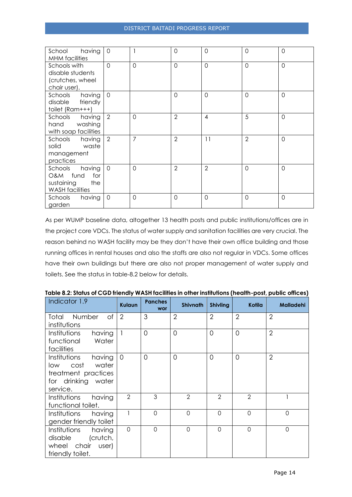| having<br>School<br><b>MHM</b> facilities                                           | $\Omega$       |          | $\mathbf 0$    | $\Omega$       | $\mathbf 0$    | $\overline{0}$ |
|-------------------------------------------------------------------------------------|----------------|----------|----------------|----------------|----------------|----------------|
| Schools with<br>disable students<br>(crutches, wheel<br>chair user).                | $\Omega$       | $\Omega$ | $\overline{0}$ | $\Omega$       | $\overline{0}$ | $\overline{0}$ |
| having<br>Schools<br>friendly<br>disable<br>toilet (Ram+++)                         | $\Omega$       |          | $\Omega$       | $\Omega$       | $\Omega$       | $\overline{0}$ |
| Schools<br>having<br>washing<br>hand<br>with soap facilities                        | $\overline{2}$ | $\Omega$ | $\overline{2}$ | $\overline{4}$ | 5              | $\overline{0}$ |
| Schools<br>having<br>solid<br>waste<br>management<br>practices                      | 2              | 7        | $\overline{2}$ | 11             | $\overline{2}$ | $\overline{0}$ |
| having<br>Schools<br>O&M fund<br>for<br>sustaining<br>the<br><b>WASH</b> facilities | $\Omega$       | $\Omega$ | $\overline{2}$ | $\overline{2}$ | $\overline{0}$ | $\overline{0}$ |
| having<br>Schools<br>garden                                                         | $\Omega$       | $\Omega$ | $\mathbf 0$    | $\Omega$       | 0              | $\overline{0}$ |

As per WUMP baseline data, altogether 13 health posts and public institutions/offices are in the project core VDCs. The status of water supply and sanitation facilities are very crucial. The reason behind no WASH facility may be they don't have their own office building and those running offices in rental houses and also the staffs are also not regular in VDCs. Some offices have their own buildings but there are also not proper management of water supply and toilets. See the status in table-8.2 below for details.

| Indicator 1.9                                                                                        | Kulaun         | <b>Panches</b><br><b>wor</b> | <b>Shivnath</b> | <b>Shivling</b> | Kotila         | <b>Malladehi</b> |
|------------------------------------------------------------------------------------------------------|----------------|------------------------------|-----------------|-----------------|----------------|------------------|
| 0f<br>Number<br>Total<br>institutions                                                                | $\overline{2}$ | 3                            | $\overline{2}$  | $\overline{2}$  | $\overline{2}$ | $\overline{2}$   |
| Institutions<br>having<br>Water<br>functional<br>facilities                                          |                | $\Omega$                     | $\Omega$        | $\Omega$        | $\Omega$       | $\overline{2}$   |
| having<br>Institutions<br>water<br>low cost<br>treatment practices<br>for drinking water<br>service. | $\Omega$       | $\overline{0}$               | $\Omega$        | 0               | $\overline{0}$ | $\overline{2}$   |
| having<br>Institutions<br>functional toilet.                                                         | $\overline{2}$ | 3                            | 2               | $\mathcal{P}$   | $\overline{2}$ |                  |
| Institutions having<br>gender friendly toilet                                                        |                | $\Omega$                     | $\Omega$        | $\Omega$        | $\overline{0}$ | $\overline{0}$   |
| Institutions<br>having<br>(crutch,<br>disable<br>wheel chair<br>user)<br>friendly toilet.            | $\mathbf{O}$   | $\overline{0}$               | $\overline{0}$  | $\Omega$        | $\mathbf 0$    | $\overline{0}$   |

**Table 8.2: Status of CGD friendly WASH facilities in other institutions (health-post, public offices)**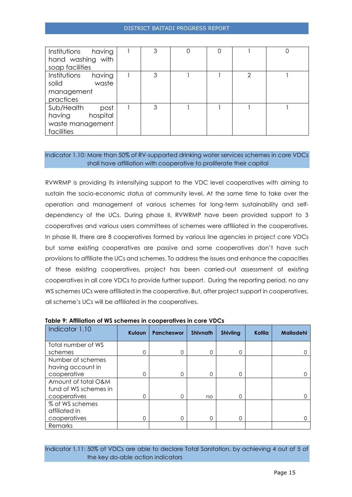| Institutions having<br>hand washing with<br>soap facilities                | 3 |  |   |  |
|----------------------------------------------------------------------------|---|--|---|--|
| Institutions having<br>solid<br>waste<br>management<br>practices           | 3 |  | 2 |  |
| Sub/Health<br>post<br>hospital<br>having<br>waste management<br>facilities | 3 |  |   |  |

#### Indicator 1.10: More than 50% of RV-supported drinking water services schemes in core VDCs shall have affiliation with cooperative to proliferate their capital

RVWRMP is providing its intensifying support to the VDC level cooperatives with aiming to sustain the socio-economic status at community level. At the same time to take over the operation and management of various schemes for long-term sustainability and selfdependency of the UCs. During phase II, RVWRMP have been provided support to 3 cooperatives and various users committees of schemes were affiliated in the cooperatives. In phase III, there are 8 cooperatives formed by various line agencies in project core VDCs but some existing cooperatives are passive and some cooperatives don't have such provisions to affiliate the UCs and schemes. To address the issues and enhance the capacities of these existing cooperatives, project has been carried-out assessment of existing cooperatives in all core VDCs to provide further support. During the reporting period, no any WS schemes UCs were affiliated in the cooperative. But, after project support in cooperatives, all scheme's UCs will be affiliated in the cooperatives.

| Indicator 1.10        | Kulaun | <b>Pancheswor</b> | <b>Shivnath</b> | <b>Shivling</b> | Kotila | <b>Malladehi</b> |
|-----------------------|--------|-------------------|-----------------|-----------------|--------|------------------|
| Total number of WS    |        |                   |                 |                 |        |                  |
| schemes               | ი      | 0                 | O               | Ω               |        |                  |
| Number of schemes     |        |                   |                 |                 |        |                  |
| having account in     |        |                   |                 |                 |        |                  |
| cooperative           | 0      | 0                 | O               | 0               |        |                  |
| Amount of total O&M   |        |                   |                 |                 |        |                  |
| fund of WS schemes in |        |                   |                 |                 |        |                  |
| cooperatives          | 0      | 0                 | no              | Ω               |        |                  |
| % of WS schemes       |        |                   |                 |                 |        |                  |
| affiliated in         |        |                   |                 |                 |        |                  |
| cooperatives          | 0      | 0                 |                 |                 |        |                  |
| Remarks               |        |                   |                 |                 |        |                  |

|  |  |  |  | Table 9: Affiliation of WS schemes in cooperatives in core VDCs |
|--|--|--|--|-----------------------------------------------------------------|
|--|--|--|--|-----------------------------------------------------------------|

Indicator 1.11: 50% of VDCs are able to declare Total Sanitation, by achieving 4 out of 5 of the key do-able action indicators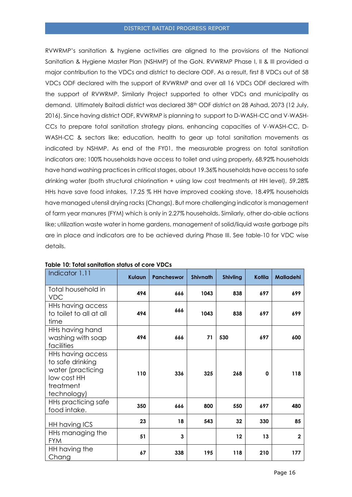RVWRMP's sanitation & hygiene activities are aligned to the provisions of the National Sanitation & Hygiene Master Plan (NSHMP) of the GoN. RVWRMP Phase I, II & III provided a major contribution to the VDCs and district to declare ODF. As a result, first 8 VDCs out of 58 VDCs ODF declared with the support of RVWRMP and over all 16 VDCs ODF declared with the support of RVWRMP. Similarly Project supported to other VDCs and municipality as demand. Ultimately Baitadi district was declared 38th ODF district on 28 Ashad, 2073 (12 July, 2016). Since having district ODF, RVWRMP is planning to support to D-WASH-CC and V-WASH-CCs to prepare total sanitation strategy plans, enhancing capacities of V-WASH-CC, D-WASH-CC & sectors like; education, health to gear up total sanitation movements as indicated by NSHMP. As end of the FY01, the measurable progress on total sanitation indicators are; 100% households have access to toilet and using properly, 68.92% households have hand washing practices in critical stages, about 19.36% households have access to safe drinking water (both structural chlorination + using low cost treatments at HH level), 59.28% HHs have save food intakes, 17.25 % HH have improved cooking stove, 18.49% households have managed utensil drying racks (Changs). But more challenging indicator is management of farm year manures (FYM) which is only in 2.27% households. Similarly, other do-able actions like; utilization waste water in home gardens, management of solid/liquid waste garbage pits are in place and indicators are to be achieved during Phase III. See table-10 for VDC wise details.

| Indicator 1.11                                                                                        | Kulaun | <b>Pancheswor</b> | <b>Shivnath</b> | <b>Shivling</b> | Kotila | <b>Malladehi</b> |
|-------------------------------------------------------------------------------------------------------|--------|-------------------|-----------------|-----------------|--------|------------------|
| Total household in<br><b>VDC</b>                                                                      | 494    | 666               | 1043            | 838             | 697    | 699              |
| HHs having access<br>to toilet to all at all<br>time                                                  | 494    | 666               | 1043            | 838             | 697    | 699              |
| HHs having hand<br>washing with soap<br>facilities                                                    | 494    | 666               | 71              | 530             | 697    | 600              |
| HHs having access<br>to safe drinking<br>water (practicing<br>low cost HH<br>treatment<br>technology) | 110    | 336               | 325             | 268             | 0      | 118              |
| HHs practicing safe<br>food intake.                                                                   | 350    | 666               | 800             | 550             | 697    | 480              |
| HH having ICS                                                                                         | 23     | 18                | 543             | 32              | 330    | 85               |
| HHs managing the<br><b>FYM</b>                                                                        | 51     | 3                 |                 | 12              | 13     | $\mathbf{2}$     |
| HH having the<br>Chang                                                                                | 67     | 338               | 195             | 118             | 210    | 177              |

#### **Table 10: Total sanitation status of core VDCs**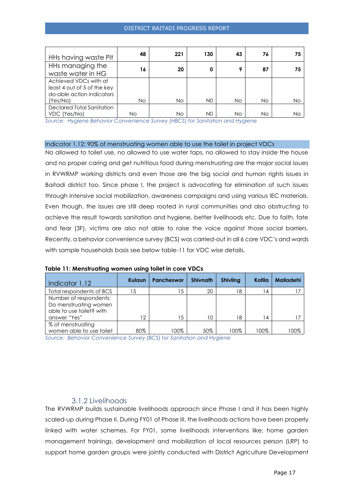#### DISTRICT BAITADI PROGRESS REPORT

| HHs having waste Pit                                                                          | 48  | 221       | 130             | 43       | 76 | 75 |
|-----------------------------------------------------------------------------------------------|-----|-----------|-----------------|----------|----|----|
| HHs managing the<br>waste water in HG                                                         | 16  | 20        | 0               | 9        | 87 | 75 |
| Achieved VDCs with at<br>least 4 out of 5 of the key<br>do-able action indicators<br>(Yes/No) | No. | <b>No</b> | NO.             | No.      | No | No |
| Declared Total Sanitation<br>VDC (Yes/No)                                                     | No. | <b>No</b> | NO.<br>$\cdots$ | No.<br>. | No | No |

*Source: Hygiene Behavior Convenience Survey (HBCS) for Sanitation and Hygiene*

#### Indicator 1.12: 90% of menstruating women able to use the toilet in project VDCs

No allowed to toilet use, no allowed to use water taps, no allowed to stay inside the house and no proper caring and get nutritious food during menstruating are the major social issues in RVWRMP working districts and even those are the big social and human rights issues in Baitadi district too. Since phase I, the project is advocating for elimination of such issues through intensive social mobilization, awareness campaigns and using various IEC materials. Even though, the issues are still deep rooted in rural communities and also obstructing to achieve the result towards sanitation and hygiene, better livelihoods etc. Due to faith, fate and fear (3F), victims are also not able to raise the voice against those social barriers. Recently, a behavior convenience survey (BCS) was carried-out in all 6 core VDC's and wards with sample households basis see below table-11 for VDC wise details.

| Indicator 1.12                                                                              | <b>Kulaun</b> | <b>Pancheswor</b> | <b>Shivnath</b> | <b>Shivling</b> | Kotila | <b>Malladehi</b> |
|---------------------------------------------------------------------------------------------|---------------|-------------------|-----------------|-----------------|--------|------------------|
| Total respondents of BCS                                                                    | 15            | -5                | 20              | 18              | 14     |                  |
| Number of respondents:<br>Do menstruating women<br>able to use toilet? with<br>answer "Yes" | 12            | 1.5               | 10              | 18              | 14     |                  |
| % of menstruating<br>women able to use toilet                                               | 80%           | 100%              | 50%             | 100%            | 100%   | 100%             |

#### **Table 11: Menstruating women using toilet in core VDCs**

*Source: Behavior Convenience Survey (BCS) for Sanitation and Hygiene*

## 3.1.2 Livelihoods

<span id="page-16-0"></span>The RVWRMP builds sustainable livelihoods approach since Phase I and it has been highly scaled-up during Phase II. During FY01 of Phase III, the livelihoods actions have been properly linked with water schemes. For FY01, some livelihoods interventions like; home garden management trainings, development and mobilization of local resources person (LRP) to support home garden groups were jointly conducted with District Agriculture Development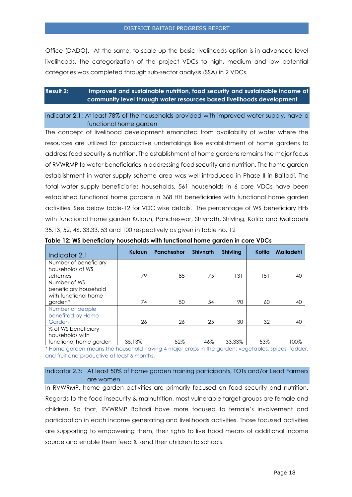Office (DADO). At the same, to scale up the basic livelihoods option is in advanced level livelihoods, the categorization of the project VDCs to high, medium and low potential categories was completed through sub-sector analysis (SSA) in 2 VDCs.

#### **Result 2: Improved and sustainable nutrition, food security and sustainable income at community level through water resources based livelihoods development**

Indicator 2.1: At least 78% of the households provided with improved water supply, have a functional home garden

The concept of livelihood development emanated from availability of water where the resources are utilized for productive undertakings like establishment of home gardens to address food security & nutrition. The establishment of home gardens remains the major focus of RVWRMP to water beneficiaries in addressing food security and nutrition. The home garden establishment in water supply scheme area was well introduced in Phase II in Baitadi. The total water supply beneficiaries households, 561 households in 6 core VDCs have been established functional home gardens in 368 HH beneficiaries with functional home garden activities. See below table-12 for VDC wise details. The percentage of WS beneficiary HHs with functional home garden Kulaun, Pancheswor, Shivnath, Shivling, Kotila and Malladehi 35.13, 52, 46, 33.33, 53 and 100 respectively as given in table no. 12

| Indicator 2.1          | Kulaun | <b>Pancheshor</b> | <b>Shivnath</b> | <b>Shivling</b> | Kotila | <b>Malladehi</b> |
|------------------------|--------|-------------------|-----------------|-----------------|--------|------------------|
| Number of beneficiary  |        |                   |                 |                 |        |                  |
| households of WS       |        |                   |                 |                 |        |                  |
| schemes                | 79     | 85                | 75              | 131             | 151    | 40               |
| Number of WS           |        |                   |                 |                 |        |                  |
| beneficiary household  |        |                   |                 |                 |        |                  |
| with functional home   |        |                   |                 |                 |        |                  |
| garden*                | 74     | 50                | 54              | 90              | 60     | 40               |
| Number of people       |        |                   |                 |                 |        |                  |
| benefited by Home      |        |                   |                 |                 |        |                  |
| Garden                 | 26     | 26                | 25              | 30              | 32     | 40               |
| % of WS beneficiary    |        |                   |                 |                 |        |                  |
| households with        |        |                   |                 |                 |        |                  |
| functional home garden | 35.13% | 52%               | 46%             | 33.33%          | 53%    | 100%             |

**Table 12: WS beneficiary households with functional home garden in core VDCs**

\* Home garden means the household having 4 major crops in the garden: vegetables, spices, fodder, and fruit and productive at least 6 months.

#### Indicator 2.3: At least 50% of home garden training participants, TOTs and/or Lead Farmers are women

In RVWRMP, home garden activities are primarily focused on food security and nutrition. Regards to the food insecurity & malnutrition, most vulnerable target groups are female and children. So that, RVWRMP Baitadi have more focused to female's involvement and participation in each income generating and livelihoods activities. Those focused activities are supporting to empowering them, their rights to livelihood means of additional income source and enable them feed & send their children to schools.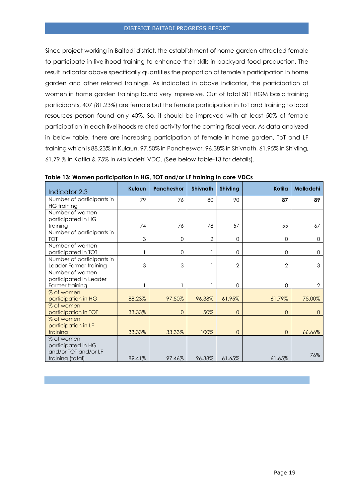Since project working in Baitadi district, the establishment of home garden attracted female to participate in livelihood training to enhance their skills in backyard food production. The result indicator above specifically quantifies the proportion of female's participation in home garden and other related trainings. As indicated in above indicator, the participation of women in home garden training found very impressive. Out of total 501 HGM basic training participants, 407 (81.23%) are female but the female participation in ToT and training to local resources person found only 40%. So, it should be improved with at least 50% of female participation in each livelihoods related activity for the coming fiscal year. As data analyzed in below table, there are increasing participation of female in home garden, ToT and LF training which is 88.23% in Kulaun, 97.50% in Pancheswor, 96.38% in Shivnath, 61.95% in Shivling, 61.79 % in Kotila & 75% in Malladehi VDC. (See below table-13 for details).

| Indicator 2.3                                                                | <b>Kulaun</b> | <b>Pancheshor</b> | <b>Shivnath</b> | <b>Shivling</b> | Kotila         | <b>Malladehi</b> |
|------------------------------------------------------------------------------|---------------|-------------------|-----------------|-----------------|----------------|------------------|
| Number of participants in<br>HG training                                     | 79            | 76                | 80              | 90              | 87             | 89               |
| Number of women<br>participated in HG                                        |               |                   |                 |                 |                |                  |
| training                                                                     | 74            | 76                | 78              | 57              | 55             | 67               |
| Number of participants in<br><b>TOT</b>                                      | 3             | 0                 | $\overline{2}$  | 0               | $\Omega$       | $\Omega$         |
| Number of women<br>participated in TOT                                       |               | 0                 |                 | 0               | $\Omega$       | $\Omega$         |
| Number of participants in<br>Leader Farmer training                          | 3             | 3                 |                 | 2               | 2              | 3                |
| Number of women<br>participated in Leader<br>Farmer training                 |               |                   |                 | 0               | $\Omega$       | $\overline{2}$   |
| % of women<br>participation in HG                                            | 88.23%        | 97.50%            | 96.38%          | 61.95%          | 61.79%         | 75.00%           |
| % of women<br>participation in TOT                                           | 33.33%        | $\overline{0}$    | 50%             | $\overline{0}$  | $\overline{0}$ | $\Omega$         |
| % of women<br>participation in LF<br>training                                | 33.33%        | 33.33%            | 100%            | $\Omega$        | $\Omega$       | 66.66%           |
| % of women<br>participated in HG<br>and/or TOT and/or LF<br>training (total) | 89.41%        | 97.46%            | 96.38%          | 61.65%          | 61.65%         | 76%              |

**Table 13: Women participation in HG, TOT and/or LF training in core VDCs**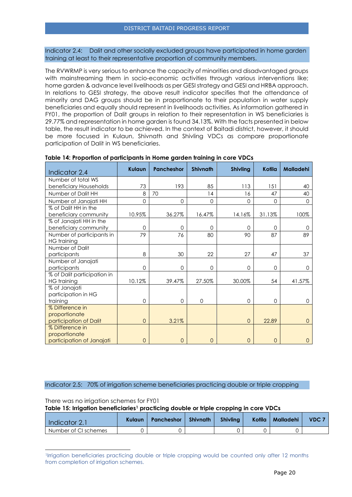Indicator 2.4: Dalit and other socially excluded groups have participated in home garden training at least to their representative proportion of community members.

The RVWRMP is very serious to enhance the capacity of minorities and disadvantaged groups with mainstreaming them in socio-economic activities through various interventions like; home garden & advance level livelihoods as per GESI strategy and GESI and HRBA approach. In relations to GESI strategy, the above result indicator specifies that the attendance of minority and DAG groups should be in proportionate to their population in water supply beneficiaries and equally should represent in livelihoods activities. As information gathered in FY01, the proportion of Dalit groups in relation to their representation in WS beneficiaries is 29.77% and representation in home garden is found 34.13%. With the facts presented in below table, the result indicator to be achieved. In the context of Baitadi district, however, it should be more focused in Kulaun, Shivnath and Shivling VDCs as compare proportionate participation of Dalit in WS beneficiaries.

| Indicator 2.4               | Kulaun         | <b>Pancheshor</b> | <b>Shivnath</b> | <b>Shivling</b> | Kotila       | <b>Malladehi</b> |
|-----------------------------|----------------|-------------------|-----------------|-----------------|--------------|------------------|
| Number of total WS          |                |                   |                 |                 |              |                  |
| beneficiary Households      | 73             | 193               | 85              | 113             | 151          | 40               |
| Number of Dalit HH          | 8              | 70                | 14              | 16              | 47           | 40               |
| Number of Janajati HH       | $\Omega$       | 0                 | 0               | $\Omega$        | $\mathbf 0$  | $\mathbf 0$      |
| % of Dalit HH in the        |                |                   |                 |                 |              |                  |
| beneficiary community       | 10.95%         | 36.27%            | 16.47%          | 14.16%          | 31.13%       | 100%             |
| % of Janajati HH in the     |                |                   |                 |                 |              |                  |
| beneficiary community       | $\Omega$       | 0                 | 0               | $\Omega$        | $\Omega$     | 0                |
| Number of participants in   | 79             | 76                | 80              | 90              | 87           | 89               |
| <b>HG</b> training          |                |                   |                 |                 |              |                  |
| Number of Dalit             |                |                   |                 |                 |              |                  |
| participants                | 8              | 30                | 22              | 27              | 47           | 37               |
| Number of Janajati          |                |                   |                 |                 |              |                  |
| participants                | 0              | 0                 | 0               | $\Omega$        | $\mathbf{0}$ | 0                |
| % of Dalit participation in |                |                   |                 |                 |              |                  |
| <b>HG</b> training          | 10.12%         | 39.47%            | 27.50%          | 30.00%          | 54           | 41.57%           |
| % of Janajati               |                |                   |                 |                 |              |                  |
| participation in HG         |                |                   |                 |                 |              |                  |
| training                    | 0              | $\Omega$          | 0               | $\Omega$        | $\Omega$     | 0                |
| % Difference in             |                |                   |                 |                 |              |                  |
| proportionate               |                |                   |                 |                 |              |                  |
| participation of Dalit      | $\overline{0}$ | 3.21%             |                 | $\overline{0}$  | 22.89        | 0                |
| % Difference in             |                |                   |                 |                 |              |                  |
| proportionate               |                |                   |                 |                 |              |                  |
| participation of Janajati   | $\overline{0}$ | 0                 | 0               | $\overline{0}$  | 0            | 0                |

**Table 14: Proportion of participants in Home garden training in core VDCs**

#### Indicator 2.5: 70% of irrigation scheme beneficiaries practicing double or triple cropping

There was no irrigation schemes for FY01

l

**Table 15: Irrigation beneficiaries<sup>1</sup> practicing double or triple cropping in core VDCs**

| Indicator 2.1        | Kulaun | <b>Pancheshor</b> | <b>Shivnath</b> | <b>Shivling</b> | Kotila | <b>Malladehi</b> | VDC <sub>7</sub> |
|----------------------|--------|-------------------|-----------------|-----------------|--------|------------------|------------------|
| Number of CI schemes |        |                   |                 |                 |        |                  |                  |

<sup>1</sup> Irrigation beneficiaries practicing double or triple cropping would be counted only after 12 months from completion of irrigation schemes.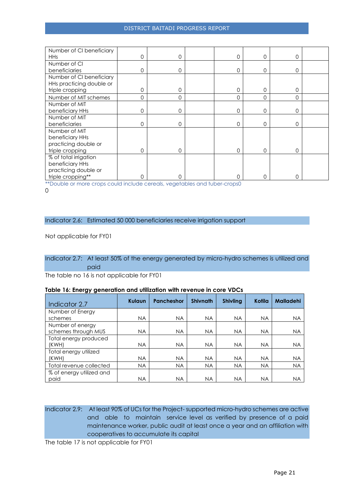#### DISTRICT BAITADI PROGRESS REPORT

| Number of CI beneficiary |          |   |             |              |          |  |
|--------------------------|----------|---|-------------|--------------|----------|--|
| <b>HHs</b>               | 0        | 0 | $\mathbf 0$ | $\mathbf{0}$ | $\Omega$ |  |
| Number of CI             |          |   |             |              |          |  |
| beneficiaries            | 0        | 0 | $\Omega$    | $\mathbf 0$  | $\Omega$ |  |
| Number of CI beneficiary |          |   |             |              |          |  |
| HHs practicing double or |          |   |             |              |          |  |
| triple cropping          | 0        | 0 | $\Omega$    | $\Omega$     | 0        |  |
| Number of MIT schemes    | 0        | 0 | $\Omega$    | $\Omega$     | $\Omega$ |  |
| Number of MIT            |          |   |             |              |          |  |
| beneficiary HHs          | 0        | 0 | $\Omega$    | 0            | $\Omega$ |  |
| Number of MIT            |          |   |             |              |          |  |
| beneficiaries            | 0        | 0 | $\Omega$    | $\mathbf 0$  | $\Omega$ |  |
| Number of MIT            |          |   |             |              |          |  |
| beneficiary HHs          |          |   |             |              |          |  |
| practicing double or     |          |   |             |              |          |  |
| triple cropping          | $\Omega$ | 0 | $\Omega$    | 0            | $\Omega$ |  |
| % of total irrigation    |          |   |             |              |          |  |
| beneficiary HHs          |          |   |             |              |          |  |
| practicing double or     |          |   |             |              |          |  |
| triple cropping**        |          | Ω |             | 0            |          |  |

\*\*Double or more crops could include cereals, vegetables and tuber-crops0

0

#### Indicator 2.6: Estimated 50 000 beneficiaries receive irrigation support

Not applicable for FY01

#### Indicator 2.7: At least 50% of the energy generated by micro-hydro schemes is utilized and paid

The table no 16 is not applicable for FY01

#### **Table 16: Energy generation and utilization with revenue in core VDCs**

| Indicator 2.7            | Kulaun    | <b>Pancheshor</b> | <b>Shivnath</b> | <b>Shivling</b> | Kotila    | <b>Malladehi</b> |
|--------------------------|-----------|-------------------|-----------------|-----------------|-----------|------------------|
| Number of Energy         |           |                   |                 |                 |           |                  |
| schemes                  | NA.       | <b>NA</b>         | <b>NA</b>       | <b>NA</b>       | <b>NA</b> | <b>NA</b>        |
| Number of energy         |           |                   |                 |                 |           |                  |
| schemes through MUS      | <b>NA</b> | <b>NA</b>         | <b>NA</b>       | <b>NA</b>       | <b>NA</b> | <b>NA</b>        |
| Total energy produced    |           |                   |                 |                 |           |                  |
| (KWH)                    | <b>NA</b> | <b>NA</b>         | <b>NA</b>       | <b>NA</b>       | <b>NA</b> | <b>NA</b>        |
| Total energy utilized    |           |                   |                 |                 |           |                  |
| (KWH)                    | <b>NA</b> | <b>NA</b>         | <b>NA</b>       | <b>NA</b>       | <b>NA</b> | <b>NA</b>        |
| Total revenue collected  | <b>NA</b> | <b>NA</b>         | <b>NA</b>       | <b>NA</b>       | <b>NA</b> | <b>NA</b>        |
| % of energy utilized and |           |                   |                 |                 |           |                  |
| paid                     | ΝA        | <b>NA</b>         | <b>NA</b>       | <b>NA</b>       | <b>NA</b> | <b>NA</b>        |

Indicator 2.9: At least 90% of UCs for the Project- supported micro-hydro schemes are active and able to maintain service level as verified by presence of a paid maintenance worker, public audit at least once a year and an affiliation with cooperatives to accumulate its capital

The table 17 is not applicable for FY01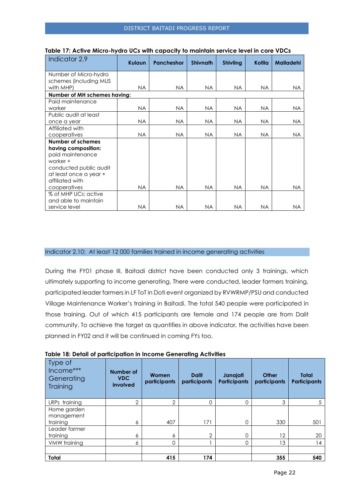| Indicator 2.9                                                                                                                                                                                                                                    | <b>Kulaun</b>                       | <b>Pancheshor</b>       | <b>Shivnath</b>   | <b>Shivling</b>               | Kotila            | <b>Malladehi</b> |
|--------------------------------------------------------------------------------------------------------------------------------------------------------------------------------------------------------------------------------------------------|-------------------------------------|-------------------------|-------------------|-------------------------------|-------------------|------------------|
| Number of Micro-hydro                                                                                                                                                                                                                            |                                     |                         |                   |                               |                   |                  |
| schemes (including MUS                                                                                                                                                                                                                           |                                     |                         |                   |                               |                   |                  |
| with MHP)                                                                                                                                                                                                                                        | <b>NA</b>                           | NA.                     | NA.               | NA.                           | NA.               | <b>NA</b>        |
| Number of MH schemes having:                                                                                                                                                                                                                     |                                     |                         |                   |                               |                   |                  |
| Paid maintenance                                                                                                                                                                                                                                 |                                     |                         |                   |                               |                   |                  |
| worker                                                                                                                                                                                                                                           | <b>NA</b>                           | <b>NA</b>               | <b>NA</b>         | <b>NA</b>                     | NA                | NA.              |
| Public audit at least                                                                                                                                                                                                                            |                                     |                         |                   |                               |                   |                  |
| once a year                                                                                                                                                                                                                                      | <b>NA</b>                           | <b>NA</b>               | NA.               | <b>NA</b>                     | NA.               | <b>NA</b>        |
| Affiliated with                                                                                                                                                                                                                                  |                                     |                         |                   |                               |                   |                  |
|                                                                                                                                                                                                                                                  |                                     |                         |                   |                               |                   | <b>NA</b>        |
|                                                                                                                                                                                                                                                  |                                     |                         |                   |                               |                   |                  |
|                                                                                                                                                                                                                                                  |                                     |                         |                   |                               |                   |                  |
|                                                                                                                                                                                                                                                  |                                     |                         |                   |                               |                   |                  |
|                                                                                                                                                                                                                                                  |                                     |                         |                   |                               |                   |                  |
|                                                                                                                                                                                                                                                  |                                     |                         |                   |                               |                   |                  |
|                                                                                                                                                                                                                                                  |                                     |                         |                   |                               |                   |                  |
|                                                                                                                                                                                                                                                  |                                     |                         |                   |                               |                   |                  |
|                                                                                                                                                                                                                                                  |                                     |                         |                   |                               |                   |                  |
|                                                                                                                                                                                                                                                  |                                     |                         |                   |                               |                   |                  |
|                                                                                                                                                                                                                                                  |                                     |                         |                   |                               |                   | NA               |
| cooperatives<br>Number of schemes<br>having composition:<br>paid maintenance<br>worker +<br>conducted public audit<br>at least once a year +<br>affiliated with<br>cooperatives<br>% of MHP UCs: active<br>and able to maintain<br>service level | <b>NA</b><br><b>NA</b><br><b>NA</b> | NA.<br>NA.<br><b>NA</b> | NA.<br>NA.<br>NA. | NA.<br><b>NA</b><br><b>NA</b> | NA.<br>NA.<br>NA. | <b>NA</b>        |

|  |  |  |  |  |  |  |  | Table 17: Active Micro-hydro UCs with capacity to maintain service level in core VDCs |  |  |  |  |  |  |
|--|--|--|--|--|--|--|--|---------------------------------------------------------------------------------------|--|--|--|--|--|--|
|--|--|--|--|--|--|--|--|---------------------------------------------------------------------------------------|--|--|--|--|--|--|

#### Indicator 2.10: At least 12 000 families trained in income generating activities

During the FY01 phase III, Baitadi district have been conducted only 3 trainings, which ultimately supporting to income generating. There were conducted, leader farmers training, participated leader farmers in LF ToT in Doti event organized by RVWRMP/PSU and conducted Village Maintenance Worker's training in Baitadi. The total 540 people were participated in those training. Out of which 415 participants are female and 174 people are from Dalit community. To achieve the target as quantifies in above indicator, the activities have been planned in FY02 and it will be continued in coming FYs too.

| Table 18: Detail of participation in Income Generating Activities |  |  |  |  |
|-------------------------------------------------------------------|--|--|--|--|
|-------------------------------------------------------------------|--|--|--|--|

| Type of<br>Income***<br>Generating<br>Training | Number of<br><b>VDC</b><br>involved | Women<br>participants | <b>Dalit</b><br>participants | Janajati<br><b>Participants</b> | Other<br>participants | <b>Total</b><br><b>Participants</b> |
|------------------------------------------------|-------------------------------------|-----------------------|------------------------------|---------------------------------|-----------------------|-------------------------------------|
| LRPs training                                  | 2                                   | $\overline{2}$        | 0                            | $\Omega$                        | 3                     | 5                                   |
| Home garden<br>management<br>training          | 6                                   | 407                   | 71                           | $\Omega$                        | 330                   | 501                                 |
| Leader farmer<br>training                      | 6                                   | 6                     | $\overline{2}$               | $\Omega$                        | 12                    | 20                                  |
| VMW training                                   | 6                                   | $\Omega$              |                              | $\Omega$                        | 13                    | 14                                  |
|                                                |                                     |                       |                              |                                 |                       |                                     |
| <b>Total</b>                                   |                                     | 415                   | 174                          |                                 | 355                   | 540                                 |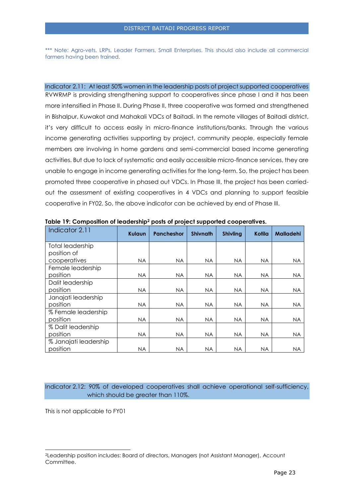\*\*\* Note: Agro-vets, LRPs, Leader Farmers, Small Enterprises. This should also include all commercial farmers having been trained.

Indicator 2.11: At least 50% women in the leadership posts of project supported cooperatives RVWRMP is providing strengthening support to cooperatives since phase I and it has been more intensified in Phase II. During Phase II, three cooperative was formed and strengthened in Bishalpur, Kuwakot and Mahakali VDCs of Baitadi. In the remote villages of Baitadi district, it's very difficult to access easily in micro-finance institutions/banks. Through the various income generating activities supporting by project, community people, especially female members are involving in home gardens and semi-commercial based income generating activities. But due to lack of systematic and easily accessible micro-finance services, they are unable to engage in income generating activities for the long-term. So, the project has been promoted three cooperative in phased out VDCs. In Phase III, the project has been carriedout the assessment of existing cooperatives in 4 VDCs and planning to support feasible cooperative in FY02. So, the above indicator can be achieved by end of Phase III.

| Indicator 2.11        | Kulaun    | <b>Pancheshor</b> | <b>Shivnath</b> | <b>Shivling</b> | Kotila    | <b>Malladehi</b> |
|-----------------------|-----------|-------------------|-----------------|-----------------|-----------|------------------|
| Total leadership      |           |                   |                 |                 |           |                  |
| position of           |           |                   |                 |                 |           |                  |
| cooperatives          | <b>NA</b> | <b>NA</b>         | NA.             | <b>NA</b>       | NA.       | <b>NA</b>        |
| Female leadership     |           |                   |                 |                 |           |                  |
| position              | <b>NA</b> | <b>NA</b>         | NA.             | <b>NA</b>       | <b>NA</b> | <b>NA</b>        |
| Dalit leadership      |           |                   |                 |                 |           |                  |
| position              | <b>NA</b> | <b>NA</b>         | NA.             | NA.             | NA.       | <b>NA</b>        |
| Janajati leadership   |           |                   |                 |                 |           |                  |
| position              | <b>NA</b> | NA.               | NA.             | <b>NA</b>       | <b>NA</b> | <b>NA</b>        |
| % Female leadership   |           |                   |                 |                 |           |                  |
| position              | <b>NA</b> | <b>NA</b>         | <b>NA</b>       | <b>NA</b>       | <b>NA</b> | <b>NA</b>        |
| % Dalit leadership    |           |                   |                 |                 |           |                  |
| position              | <b>NA</b> | NA.               | NA.             | NA.             | NA.       | <b>NA</b>        |
| % Janajati leadership |           |                   |                 |                 |           |                  |
| position              | <b>NA</b> | <b>NA</b>         | <b>NA</b>       | <b>NA</b>       | <b>NA</b> | <b>NA</b>        |

**Table 19: Composition of leadership<sup>2</sup> posts of project supported cooperatives.**

Indicator 2.12: 90% of developed cooperatives shall achieve operational self-sufficiency, which should be greater than 110%.

This is not applicable to FY01

l

<sup>2</sup>Leadership position includes: Board of directors, Managers (not Assistant Manager), Account Committee.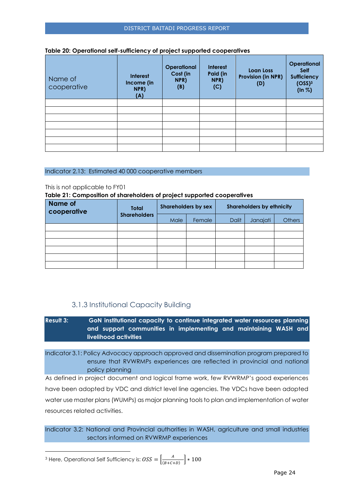| Name of<br>cooperative | <b>Interest</b><br>Income (in<br>NPR)<br>(A) | <b>Operational</b><br>Cost (in<br>NPR)<br>(B) | <b>Interest</b><br>Paid (in<br>NPR)<br>(C) | Loan Loss<br><b>Provision (in NPR)</b><br>(D) | Operational<br>Self<br><b>Sufficiency</b><br>(OSS) <sup>3</sup><br>$(ln \%)$ |
|------------------------|----------------------------------------------|-----------------------------------------------|--------------------------------------------|-----------------------------------------------|------------------------------------------------------------------------------|
|                        |                                              |                                               |                                            |                                               |                                                                              |
|                        |                                              |                                               |                                            |                                               |                                                                              |
|                        |                                              |                                               |                                            |                                               |                                                                              |
|                        |                                              |                                               |                                            |                                               |                                                                              |
|                        |                                              |                                               |                                            |                                               |                                                                              |
|                        |                                              |                                               |                                            |                                               |                                                                              |
|                        |                                              |                                               |                                            |                                               |                                                                              |

#### **Table 20: Operational self-sufficiency of project supported cooperatives**

#### Indicator 2.13: Estimated 40 000 cooperative members

#### This is not applicable to FY01

#### **Table 21: Composition of shareholders of project supported cooperatives**

| <b>Name of</b><br>cooperative | Total               |      | <b>Shareholders by sex</b> | <b>Shareholders by ethnicity</b> |          |               |  |
|-------------------------------|---------------------|------|----------------------------|----------------------------------|----------|---------------|--|
|                               | <b>Shareholders</b> | Male | Female                     | Dalit                            | Janajati | <b>Others</b> |  |
|                               |                     |      |                            |                                  |          |               |  |
|                               |                     |      |                            |                                  |          |               |  |
|                               |                     |      |                            |                                  |          |               |  |
|                               |                     |      |                            |                                  |          |               |  |
|                               |                     |      |                            |                                  |          |               |  |
|                               |                     |      |                            |                                  |          |               |  |

## 3.1.3 Institutional Capacity Building

<span id="page-23-0"></span>**Result 3: GoN institutional capacity to continue integrated water resources planning and support communities in implementing and maintaining WASH and livelihood activities**

Indicator 3.1: Policy Advocacy approach approved and dissemination program prepared to ensure that RVWRMPs experiences are reflected in provincial and national policy planning

As defined in project document and logical frame work, few RVWRMP's good experiences have been adopted by VDC and district level line agencies. The VDCs have been adopted water use master plans (WUMPs) as major planning tools to plan and implementation of water resources related activities.

Indicator 3.2: National and Provincial authorities in WASH, agriculture and small industries sectors informed on RVWRMP experiences

<sup>3</sup> Here, Operational Self Sufficiency is:  $\overline{OSS} = \frac{A}{\sqrt{B+C}}$  $\frac{A}{(B+C+D)}$  \* 100

l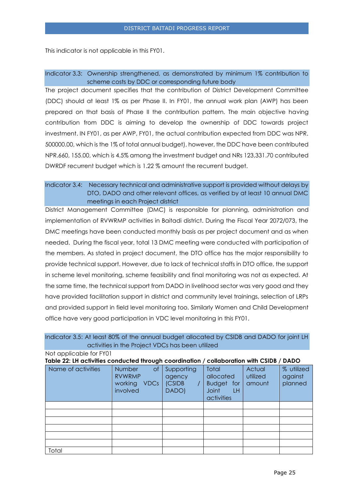This indicator is not applicable in this FY01.

#### Indicator 3.3: Ownership strengthened, as demonstrated by minimum 1% contribution to scheme costs by DDC or corresponding future body

The project document specifies that the contribution of District Development Committee (DDC) should at least 1% as per Phase II. In FY01, the annual work plan (AWP) has been prepared on that basis of Phase II the contribution pattern. The main objective having contribution from DDC is aiming to develop the ownership of DDC towards project investment. IN FY01, as per AWP, FY01, the actual contribution expected from DDC was NPR. 500000.00, which is the 1% of total annual budget), however, the DDC have been contributed NPR.660, 155.00, which is 4.5% among the investment budget and NRs 123,331.70 contributed DWRDF recurrent budget which is 1.22 % amount the recurrent budget.

## Indicator 3.4: Necessary technical and administrative support is provided without delays by DTO, DADO and other relevant offices, as verified by at least 10 annual DMC meetings in each Project district

District Management Committee (DMC) is responsible for planning, administration and implementation of RVWRMP activities in Baitadi district. During the Fiscal Year 2072/073, the DMC meetings have been conducted monthly basis as per project document and as when needed. During the fiscal year, total 13 DMC meeting were conducted with participation of the members. As stated in project document, the DTO office has the major responsibility to provide technical support. However, due to lack of technical staffs in DTO office, the support in scheme level monitoring, scheme feasibility and final monitoring was not as expected. At the same time, the technical support from DADO in livelihood sector was very good and they have provided facilitation support in district and community level trainings, selection of LRPs and provided support in field level monitoring too. Similarly Women and Child Development office have very good participation in VDC level monitoring in this FY01.

| Indicator 3.5: At least 80% of the annual budget allocated by CSIDB and DADO for joint LH<br>activities in the Project VDCs has been utilized |                                                                            |                                         |                                                                          |                              |                                  |  |  |  |  |  |
|-----------------------------------------------------------------------------------------------------------------------------------------------|----------------------------------------------------------------------------|-----------------------------------------|--------------------------------------------------------------------------|------------------------------|----------------------------------|--|--|--|--|--|
| Not applicable for FY01                                                                                                                       |                                                                            |                                         |                                                                          |                              |                                  |  |  |  |  |  |
| Table 22: LH activities conducted through coordination / collaboration with CSIDB / DADO                                                      |                                                                            |                                         |                                                                          |                              |                                  |  |  |  |  |  |
| Name of activities                                                                                                                            | <b>Number</b><br>0f<br><b>RVWRMP</b><br>working<br><b>VDCs</b><br>involved | Supporting<br>agency<br>(CSIDB<br>DADO) | Total<br>allocated<br><b>Budget</b><br>for<br>Joint<br>LH.<br>activities | Actual<br>utilized<br>amount | % utilized<br>against<br>planned |  |  |  |  |  |
|                                                                                                                                               |                                                                            |                                         |                                                                          |                              |                                  |  |  |  |  |  |
|                                                                                                                                               |                                                                            |                                         |                                                                          |                              |                                  |  |  |  |  |  |
|                                                                                                                                               |                                                                            |                                         |                                                                          |                              |                                  |  |  |  |  |  |
|                                                                                                                                               |                                                                            |                                         |                                                                          |                              |                                  |  |  |  |  |  |
|                                                                                                                                               |                                                                            |                                         |                                                                          |                              |                                  |  |  |  |  |  |
|                                                                                                                                               |                                                                            |                                         |                                                                          |                              |                                  |  |  |  |  |  |
| Total                                                                                                                                         |                                                                            |                                         |                                                                          |                              |                                  |  |  |  |  |  |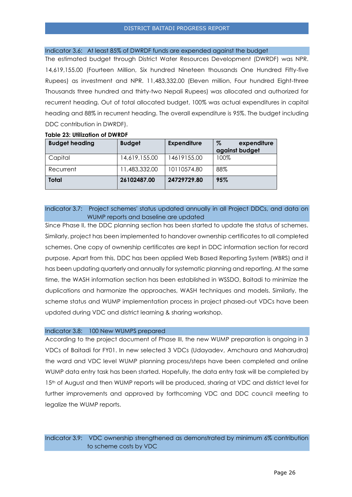Indicator 3.6: At least 85% of DWRDF funds are expended against the budget

The estimated budget through District Water Resources Development (DWRDF) was NPR. 14,619,155.00 (Fourteen Million, Six hundred Nineteen thousands One Hundred Fifty-five Rupees) as investment and NPR. 11,483,332.00 (Eleven million, Four hundred Eight-three Thousands three hundred and thirty-two Nepali Rupees) was allocated and authorized for recurrent heading. Out of total allocated budget, 100% was actual expenditures in capital heading and 88% in recurrent heading. The overall expenditure is 95%. The budget including DDC contribution in DWRDF).

| <b>Budget heading</b> | <b>Budget</b> | <b>Expenditure</b> | Z<br>expenditure<br>against budget |
|-----------------------|---------------|--------------------|------------------------------------|
| Capital               | 14,619,155.00 | 14619155.00        | 100%                               |
| Recurrent             | 11,483,332.00 | 10110574.80        | 88%                                |
| Total                 | 26102487.00   | 24729729.80        | 95%                                |

#### **Table 23: Utilization of DWRDF**

Indicator 3.7: Project schemes' status updated annually in all Project DDCs, and data on WUMP reports and baseline are updated

Since Phase II, the DDC planning section has been started to update the status of schemes. Similarly, project has been implemented to handover ownership certificates to all completed schemes. One copy of ownership certificates are kept in DDC information section for record purpose. Apart from this, DDC has been applied Web Based Reporting System (WBRS) and it has been updating quarterly and annually for systematic planning and reporting. At the same time, the WASH information section has been established in WSSDO, Baitadi to minimize the duplications and harmonize the approaches, WASH techniques and models. Similarly, the scheme status and WUMP implementation process in project phased-out VDCs have been updated during VDC and district learning & sharing workshop.

#### Indicator 3.8: 100 New WUMPS prepared

According to the project document of Phase III, the new WUMP preparation is ongoing in 3 VDCs of Baitadi for FY01. In new selected 3 VDCs (Udayadev, Amchaura and Maharudra) the ward and VDC level WUMP planning process/steps have been completed and online WUMP data entry task has been started. Hopefully, the data entry task will be completed by 15<sup>th</sup> of August and then WUMP reports will be produced, sharing at VDC and district level for further improvements and approved by forthcoming VDC and DDC council meeting to legalize the WUMP reports.

#### Indicator 3.9: VDC ownership strengthened as demonstrated by minimum 6% contribution to scheme costs by VDC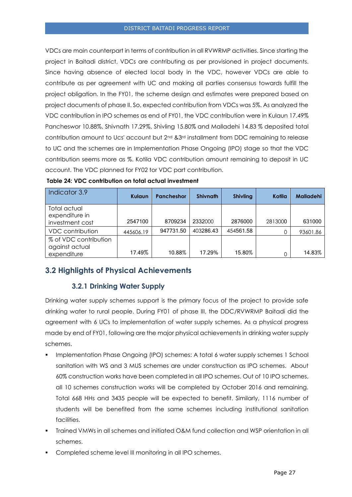VDCs are main counterpart in terms of contribution in all RVWRMP activities. Since starting the project in Baitadi district, VDCs are contributing as per provisioned in project documents. Since having absence of elected local body in the VDC, however VDCs are able to contribute as per agreement with UC and making all parties consensus towards fulfill the project obligation. In the FY01, the scheme design and estimates were prepared based on project documents of phase II. So, expected contribution from VDCs was 5%. As analyzed the VDC contribution in IPO schemes as end of FY01, the VDC contribution were in Kulaun 17.49% Pancheswor 10.88%, Shivnath 17.29%, Shivling 15.80% and Malladehi 14.83 % deposited total contribution amount to Ucs' account but 2nd &3rd installment from DDC remaining to release to UC and the schemes are in Implementation Phase Ongoing (IPO) stage so that the VDC contribution seems more as %. Kotila VDC contribution amount remaining to deposit in UC account. The VDC planned for FY02 tor VDC part contribution.

| Indicator 3.9           | Kulaun    | <b>Pancheshor</b> | <b>Shivnath</b> | <b>Shivling</b> | Kotila  | <b>Malladehi</b> |
|-------------------------|-----------|-------------------|-----------------|-----------------|---------|------------------|
| Total actual            |           |                   |                 |                 |         |                  |
| expenditure in          |           |                   |                 |                 |         |                  |
| investment cost         | 2547100   | 8709234           | 2332000         | 2876000         | 2813000 | 631000           |
| <b>VDC</b> contribution | 445606.19 | 947731.50         | 403286.43       | 454561.58       |         | 93601.86         |
| % of VDC contribution   |           |                   |                 |                 |         |                  |
| against actual          |           |                   |                 |                 |         |                  |
| expenditure             | 17.49%    | 10.88%            | 17.29%          | 15.80%          |         | 14.83%           |

| Table 24: VDC contribution on total actual investment |
|-------------------------------------------------------|
|-------------------------------------------------------|

## <span id="page-26-1"></span><span id="page-26-0"></span>**3.2 Highlights of Physical Achievements**

## **3.2.1 Drinking Water Supply**

Drinking water supply schemes support is the primary focus of the project to provide safe drinking water to rural people. During FY01 of phase III, the DDC/RVWRMP Baitadi did the agreement with 6 UCs to implementation of water supply schemes. As a physical progress made by end of FY01, following are the major physical achievements in drinking water supply schemes.

- Implementation Phase Ongoing (IPO) schemes: A total 6 water supply schemes 1 School sanitation with WS and 3 MUS schemes are under construction as IPO schemes. About 60% construction works have been completed in all IPO schemes. Out of 10 IPO schemes, all 10 schemes construction works will be completed by October 2016 and remaining. Total 668 HHs and 3435 people will be expected to benefit. Similarly, 1116 number of students will be benefited from the same schemes including institutional sanitation facilities.
- Trained VMWs in all schemes and initiated O&M fund collection and WSP orientation in all schemes.
- Completed scheme level III monitoring in all IPO schemes.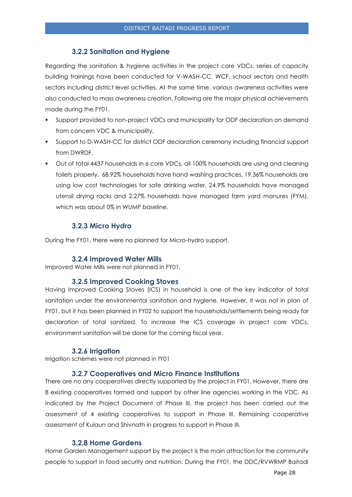## **3.2.2 Sanitation and Hygiene**

<span id="page-27-0"></span>Regarding the sanitation & hygiene activities in the project core VDCs, series of capacity building trainings have been conducted for V-WASH-CC, WCF, school sectors and health sectors including district level activities. At the same time, various awareness activities were also conducted to mass awareness creation. Following are the major physical achievements made during the FY01.

- Support provided to non-project VDCs and municipality for ODF declaration on demand from concern VDC & municipality,
- Support to D-WASH-CC for district ODF declaration ceremony including financial support from DWRDF.
- Out of total 4437 households in 6 core VDCs, all 100% households are using and cleaning toilets properly. 68.92% households have hand washing practices, 19.36% households are using low cost technologies for safe drinking water, 24.9% households have managed utensil drying racks and 2.27% households have managed farm yard manures (FYM), which was about 0% in WUMP baseline.

#### **3.2.3 Micro Hydro**

<span id="page-27-1"></span>During the FY01, there were no planned for Micro-hydro support.

#### **3.2.4 Improved Water Mills**

<span id="page-27-2"></span>Improved Water Mills were not planned in FY01.

#### **3.2.5 Improved Cooking Stoves**

<span id="page-27-3"></span>Having Improved Cooking Stoves (ICS) in household is one of the key indicator of total sanitation under the environmental sanitation and hygiene. However, it was not in plan of FY01, but it has been planned in FY02 to support the households/settlements being ready for declaration of total sanitized. To increase the ICS coverage in project core VDCs, environment sanitation will be done for the coming fiscal year.

#### **3.2.6 Irrigation**

<span id="page-27-4"></span>Irrigation schemes were not planned in fY01

#### **3.2.7 Cooperatives and Micro Finance Institutions**

<span id="page-27-5"></span>There are no any cooperatives directly supported by the project in FY01. However, there are 8 existing cooperatives formed and support by other line agencies working in the VDC. As indicated by the Project Document of Phase III, the project has been carried out the assessment of 4 existing cooperatives to support in Phase III. Remaining cooperative assessment of Kulaun and Shivnath in progress to support in Phase III.

#### **3.2.8 Home Gardens**

<span id="page-27-6"></span>Home Garden Management support by the project is the main attraction for the community people to support in food security and nutrition. During the FY01, the DDC/RVWRMP Baitadi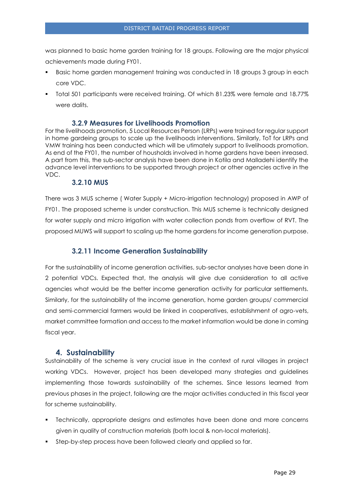was planned to basic home garden training for 18 groups. Following are the major physical achievements made during FY01.

- Basic home garden management training was conducted in 18 groups 3 group in each core VDC.
- Total 501 participants were received training. Of which 81.23% were female and 18.77% were dalits.

#### **3.2.9 Measures for Livelihoods Promotion**

<span id="page-28-0"></span>For the livelihoods promotion, 5 Local Resources Person (LRPs) were trained for regular support in home gardeing groups to scale up the livelihoods interventions. Similarly, ToT for LRPs and VMW training has been conducted which will be utimately support to livelihoods promotion. As end of the FY01, the number of housholds involved in home gardens have been inreased. A part from this, the sub-sector analysis have been done in Kotila and Malladehi identify the advance level interventions to be supported through project or other agencies active in the VDC.

#### **3.2.10 MUS**

<span id="page-28-2"></span><span id="page-28-1"></span>There was 3 MUS scheme ( Water Supply + Micro-irrigation technology) proposed in AWP of FY01. The proposed scheme is under construction. This MUS scheme is technically designed for water supply and micro irrigation with water collection ponds from overflow of RVT. The proposed MUWS will support to scaling up the home gardens for income generation purpose.

## **3.2.11 Income Generation Sustainability**

For the sustainability of income generation activities, sub-sector analyses have been done in 2 potential VDCs. Expected that, the analysis will give due consideration to all active agencies what would be the better income generation activity for particular settlements. Similarly, for the sustainability of the income generation, home garden groups/ commercial and semi-commercial farmers would be linked in cooperatives, establishment of agro-vets, market committee formation and access to the market information would be done in coming fiscal year.

## **4. Sustainability**

<span id="page-28-3"></span>Sustainability of the scheme is very crucial issue in the context of rural villages in project working VDCs. However, project has been developed many strategies and guidelines implementing those towards sustainability of the schemes. Since lessons learned from previous phases in the project, following are the major activities conducted in this fiscal year for scheme sustainability.

- Technically, appropriate designs and estimates have been done and more concerns given in quality of construction materials (both local & non-local materials).
- Step-by-step process have been followed clearly and applied so far.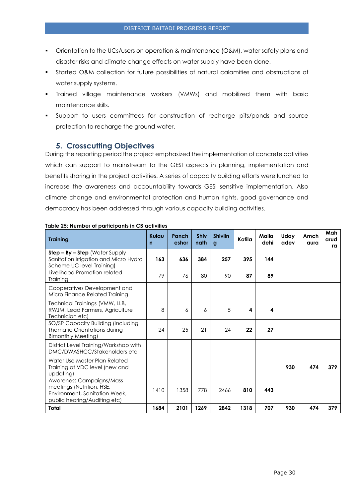- Orientation to the UCs/users on operation & maintenance (O&M), water safety plans and disaster risks and climate change effects on water supply have been done.
- Started O&M collection for future possibilities of natural calamities and obstructions of water supply systems.
- Trained village maintenance workers (VMWs) and mobilized them with basic maintenance skills.
- Support to users committees for construction of recharge pits/ponds and source protection to recharge the ground water.

## **5. Crosscutting Objectives**

<span id="page-29-0"></span>During the reporting period the project emphasized the implementation of concrete activities which can support to mainstream to the GESI aspects in planning, implementation and benefits sharing in the project activities. A series of capacity building efforts were lunched to increase the awareness and accountability towards GESI sensitive implementation. Also climate change and environmental protection and human rights, good governance and democracy has been addressed through various capacity building activities.

| <b>Training</b>                                                                                                        | Kulau<br>n | Panch<br>eshor | <b>Shiv</b><br>nath | <b>Shivlin</b><br>$\mathbf{g}$ | Kotila | Malla<br>dehi | Uday<br>adev | Amch<br>aura | Mah<br>arud<br>ra |
|------------------------------------------------------------------------------------------------------------------------|------------|----------------|---------------------|--------------------------------|--------|---------------|--------------|--------------|-------------------|
| $Step - By - Step$ (Water Supply<br>Sanitation Irrigation and Micro Hydro<br>Scheme UC level Training)                 | 163        | 636            | 384                 | 257                            | 395    | 144           |              |              |                   |
| Livelihood Promotion related<br>Training                                                                               | 79         | 76             | 80                  | 90                             | 87     | 89            |              |              |                   |
| Cooperatives Development and<br>Micro Finance Related Training                                                         |            |                |                     |                                |        |               |              |              |                   |
| Technical Trainings (VMW, LLB,<br>RWJM, Lead Farmers, Agriculture<br>Technician etc)                                   | 8          | 6              | 6                   | 5                              | 4      | 4             |              |              |                   |
| SO/SP Capacity Building (Including<br>Thematic Orientations during<br>Bimonthly Meeting)                               | 24         | 25             | 21                  | 24                             | 22     | 27            |              |              |                   |
| District Level Training/Workshop with<br>DMC/DWASHCC/Stakeholders etc                                                  |            |                |                     |                                |        |               |              |              |                   |
| Water Use Master Plan Related<br>Training at VDC level (new and<br>updating)                                           |            |                |                     |                                |        |               | 930          | 474          | 379               |
| Awareness Campaigns/Mass<br>meetings (Nutrition, HSE,<br>Environment, Sanitation Week,<br>public hearing/Auditing etc) | 1410       | 1358           | 778                 | 2466                           | 810    | 443           |              |              |                   |
| Total                                                                                                                  | 1684       | 2101           | 1269                | 2842                           | 1318   | 707           | 930          | 474          | 379               |

#### **Table 25: Number of participants in CB activities**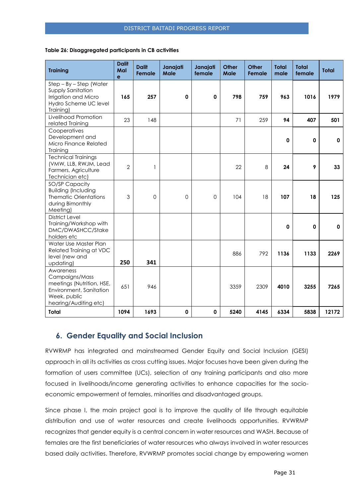| <b>Training</b>                                                                                                              | <b>Dalit</b><br>Mal<br>е | <b>Dalit</b><br>Female | Janajati<br><b>Male</b> | Janajati<br>female | Other<br><b>Male</b> | <b>Other</b><br>Female | <b>Total</b><br>male | <b>Total</b><br>female | <b>Total</b> |
|------------------------------------------------------------------------------------------------------------------------------|--------------------------|------------------------|-------------------------|--------------------|----------------------|------------------------|----------------------|------------------------|--------------|
| $Step - By - Step (Water)$<br><b>Supply Sanitation</b><br>Irrigation and Micro<br>Hydro Scheme UC level<br>Training)         | 165                      | 257                    | $\mathbf 0$             | $\mathbf 0$        | 798                  | 759                    | 963                  | 1016                   | 1979         |
| Livelihood Promotion<br>related Training                                                                                     | 23                       | 148                    |                         |                    | 71                   | 259                    | 94                   | 407                    | 501          |
| Cooperatives<br>Development and<br>Micro Finance Related<br>Training                                                         |                          |                        |                         |                    |                      |                        | $\mathbf 0$          | 0                      | $\mathbf{0}$ |
| <b>Technical Trainings</b><br>(VMW, LLB, RWJM, Lead<br>Farmers, Agriculture<br>Technician etc)                               | $\overline{2}$           | 1                      |                         |                    | 22                   | 8                      | 24                   | 9                      | 33           |
| SO/SP Capacity<br><b>Building (Including</b><br><b>Thematic Orientations</b><br>during Bimonthly<br>Meeting)                 | 3                        | 0                      | 0                       | $\mathbf 0$        | 104                  | 18                     | 107                  | 18                     | 125          |
| <b>District Level</b><br>Training/Workshop with<br>DMC/DWASHCC/Stake<br>holders etc                                          |                          |                        |                         |                    |                      |                        | 0                    | 0                      | $\mathbf{0}$ |
| Water Use Master Plan<br>Related Training at VDC<br>level (new and<br>updating)                                              | 250                      | 341                    |                         |                    | 886                  | 792                    | 1136                 | 1133                   | 2269         |
| Awareness<br>Campaigns/Mass<br>meetings (Nutrition, HSE,<br>Environment, Sanitation<br>Week, public<br>hearing/Auditing etc) | 651                      | 946                    |                         |                    | 3359                 | 2309                   | 4010                 | 3255                   | 7265         |
| <b>Total</b>                                                                                                                 | 1094                     | 1693                   | $\mathbf 0$             | $\mathbf 0$        | 5240                 | 4145                   | 6334                 | 5838                   | 12172        |

#### **Table 26: Disaggregated participants in CB activities**

## <span id="page-30-0"></span>**6. Gender Equality and Social Inclusion**

RVWRMP has integrated and mainstreamed Gender Equity and Social Inclusion (GESI) approach in all its activities as cross cutting issues. Major focuses have been given during the formation of users committee (UCs), selection of any training participants and also more focused in livelihoods/income generating activities to enhance capacities for the socioeconomic empowerment of females, minorities and disadvantaged groups.

Since phase I, the main project goal is to improve the quality of life through equitable distribution and use of water resources and create livelihoods opportunities. RVWRMP recognizes that gender equity is a central concern in water resources and WASH. Because of females are the first beneficiaries of water resources who always involved in water resources based daily activities. Therefore, RVWRMP promotes social change by empowering women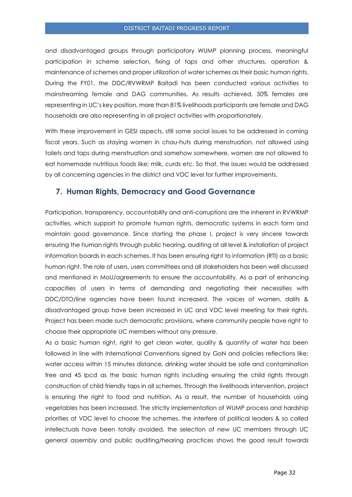#### DISTRICT BAITADI PROGRESS REPORT

and disadvantaged groups through participatory WUMP planning process, meaningful participation in scheme selection, fixing of taps and other structures, operation & maintenance of schemes and proper utilization of water schemes as their basic human rights. During the FY01, the DDC/RVWRMP Baitadi has been conducted various activities to mainstreaming female and DAG communities. As results achieved, 50% females are representing in UC's key position, more than 81% livelihoods participants are female and DAG households are also representing in all project activities with proportionately.

With these improvement in GESI aspects, still some social issues to be addressed in coming fiscal years. Such as staying women in chau-huts during menstruation, not allowed using toilets and taps during menstruation and somehow somewhere, women are not allowed to eat homemade nutritious foods like; milk, curds etc. So that, the issues would be addressed by all concerning agencies in the district and VDC level for further improvements.

## <span id="page-31-0"></span>**7. Human Rights, Democracy and Good Governance**

Participation, transparency, accountability and anti-corruptions are the inherent in RVWRMP activities, which support to promote human rights, democratic systems in each form and maintain good governance. Since starting the phase I, project is very sincere towards ensuring the human rights through public hearing, auditing at all level & installation of project information boards in each schemes. It has been ensuring right to information (RTI) as a basic human right. The role of users, users committees and all stakeholders has been well discussed and mentioned in MoU/agreements to ensure the accountability. As a part of enhancing capacities of users in terms of demanding and negotiating their necessities with DDC/DTO/line agencies have been found increased. The voices of women, dalits & disadvantaged group have been increased in UC and VDC level meeting for their rights. Project has been made such democratic provisions, where community people have right to choose their appropriate UC members without any pressure.

As a basic human right, right to get clean water, quality & quantity of water has been followed in line with International Conventions signed by GoN and policies reflections like; water access within 15 minutes distance, drinking water should be safe and contamination free and 45 lpcd as the basic human rights including ensuring the child rights through construction of child friendly taps in all schemes. Through the livelihoods intervention, project is ensuring the right to food and nutrition. As a result, the number of households using vegetables has been increased. The strictly implementation of WUMP process and hardship priorities at VDC level to choose the schemes, the interfere of political leaders & so called intellectuals have been totally avoided, the selection of new UC members through UC general assembly and public auditing/hearing practices shows the good result towards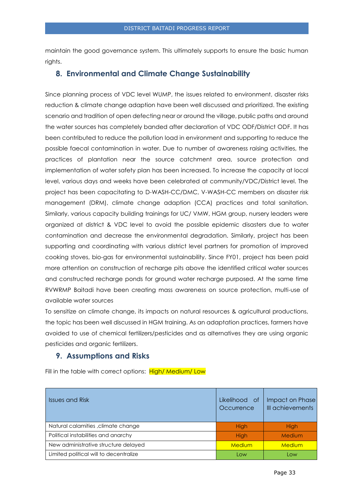maintain the good governance system. This ultimately supports to ensure the basic human rights.

## <span id="page-32-0"></span>**8. Environmental and Climate Change Sustainability**

Since planning process of VDC level WUMP, the issues related to environment, disaster risks reduction & climate change adaption have been well discussed and prioritized. The existing scenario and tradition of open defecting near or around the village, public paths and around the water sources has completely banded after declaration of VDC ODF/District ODF. It has been contributed to reduce the pollution load in environment and supporting to reduce the possible faecal contamination in water. Due to number of awareness raising activities, the practices of plantation near the source catchment area, source protection and implementation of water safety plan has been increased. To increase the capacity at local level, various days and weeks have been celebrated at community/VDC/District level. The project has been capacitating to D-WASH-CC/DMC, V-WASH-CC members on disaster risk management (DRM), climate change adaption (CCA) practices and total sanitation. Similarly, various capacity building trainings for UC/ VMW, HGM group, nursery leaders were organized at district & VDC level to avoid the possible epidemic disasters due to water contamination and decrease the environmental degradation. Similarly, project has been supporting and coordinating with various district level partners for promotion of improved cooking stoves, bio-gas for environmental sustainability. Since FY01, project has been paid more attention on construction of recharge pits above the identified critical water sources and constructed recharge ponds for ground water recharge purposed. At the same time RVWRMP Baitadi have been creating mass awareness on source protection, multi-use of available water sources

To sensitize on climate change, its impacts on natural resources & agricultural productions, the topic has been well discussed in HGM training. As an adaptation practices, farmers have avoided to use of chemical fertilizers/pesticides and as alternatives they are using organic pesticides and organic fertilizers.

## <span id="page-32-1"></span>**9. Assumptions and Risks**

Fill in the table with correct options: High/ Medium/ Low

| <b>Issues and Risk</b>                 | Likelihood of<br>Occurrence | Impact on Phase<br>III achievements |
|----------------------------------------|-----------------------------|-------------------------------------|
| Natural calamities, climate change     | <b>High</b>                 | <b>High</b>                         |
| Political instabilities and anarchy    | <b>High</b>                 | Medium                              |
| New administrative structure delayed   | Medium                      | Medium                              |
| Limited political will to decentralize | Low                         | Low                                 |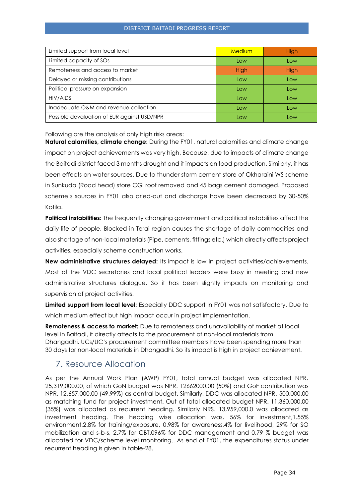#### DISTRICT BAITADI PROGRESS REPORT

| Limited support from local level            | <b>Medium</b> | <b>High</b> |
|---------------------------------------------|---------------|-------------|
| Limited capacity of SOs                     | Low           | Low         |
| Remoteness and access to market             | High          | High        |
| Delayed or missing contributions            | Low           | Low         |
| Political pressure on expansion             | Low           | Low         |
| HIV/AIDS                                    | Low           | Low         |
| Inadequate O&M and revenue collection       | Low           | Low         |
| Possible devaluation of EUR against USD/NPR | Low           | Low         |

<span id="page-33-0"></span>Following are the analysis of only high risks areas:

**Natural calamities, climate change:** During the FY01, natural calamities and climate change impact on project achievements was very high. Because, due to impacts of climate change the Baitadi district faced 3 months drought and it impacts on food production. Similarly, it has been effects on water sources. Due to thunder storm cement store of Okharaini WS scheme in Sunkuda (Road head) store CGI roof removed and 45 bags cement damaged. Proposed scheme's sources in FY01 also dried-out and discharge have been decreased by 30-50% Kotila.

**Political instabilities:** The frequently changing government and political instabilities affect the daily life of people. Blocked in Terai region causes the shortage of daily commodities and also shortage of non-local materials (Pipe, cements, fittings etc.) which directly affects project activities, especially scheme construction works.

**New administrative structures delayed:** Its impact is low in project activities/achievements. Most of the VDC secretaries and local political leaders were busy in meeting and new administrative structures dialogue. So it has been slightly impacts on monitoring and supervision of project activities.

**Limited support from local level:** Especially DDC support in FY01 was not satisfactory. Due to which medium effect but high impact occur in project implementation.

**Remoteness & access to market:** Due to remoteness and unavailability of market at local level in Baitadi, it directly affects to the procurement of non-local materials from Dhangadhi. UCs/UC's procurement committee members have been spending more than 30 days for non-local materials in Dhangadhi. So its impact is high in project achievement.

## 7. Resource Allocation

As per the Annual Work Plan (AWP) FY01, total annual budget was allocated NPR. 25,319,000.00, of which GoN budget was NPR. 12662000.00 (50%) and GoF contribution was NPR. 12,657,000.00 (49.99%) as central budget. Similarly, DDC was allocated NPR. 500,000.00 as matching fund for project investment. Out of total allocated budget NPR. 11,360,000.00 (35%) was allocated as recurrent heading. Similarly NRS. 13,959,000.0 was allocated as investment heading. The heading wise allocation was, 56% for investment,1.55% environment,2.8% for training/exposure, 0.98% for awareness,4% for livelihood, 29% for SO mobilization and s-b-s, 2.7% for CBT,096% for DDC management and 0.79 % budget was allocated for VDC/scheme level monitoring.. As end of FY01, the expenditures status under recurrent heading is given in table-28.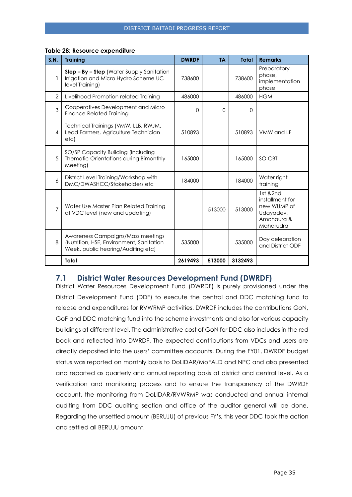| <b>S.N.</b>    | <b>Training</b>                                                                                                     | <b>DWRDF</b> | <b>TA</b> | <b>Total</b> | <b>Remarks</b>                                                                     |
|----------------|---------------------------------------------------------------------------------------------------------------------|--------------|-----------|--------------|------------------------------------------------------------------------------------|
| 1              | Step - By - Step (Water Supply Sanitation<br>Irrigation and Micro Hydro Scheme UC<br>level Training)                | 738600       |           | 738600       | Preparatory<br>phase,<br>implementation<br>phase                                   |
| $\overline{2}$ | Livelihood Promotion related Training                                                                               | 486000       |           | 486000       | <b>HGM</b>                                                                         |
| 3              | Cooperatives Development and Micro<br><b>Finance Related Training</b>                                               | $\Omega$     | $\Omega$  | $\Omega$     |                                                                                    |
| 4              | Technical Trainings (VMW, LLB, RWJM,<br>Lead Farmers, Agriculture Technician<br>etc)                                | 510893       |           | 510893       | VMW and LF                                                                         |
| 5              | SO/SP Capacity Building (Including<br>Thematic Orientations during Bimonthly<br>Meeting)                            | 165000       |           | 165000       | SO CBT                                                                             |
| 6              | District Level Training/Workshop with<br>DMC/DWASHCC/Stakeholders etc                                               | 184000       |           | 184000       | Water right<br>training                                                            |
| $\overline{7}$ | Water Use Master Plan Related Training<br>at VDC level (new and updating)                                           |              | 513000    | 513000       | 1st &2nd<br>installment for<br>new WUMP of<br>Udayadev,<br>Amchaura &<br>Maharudra |
| 8              | Awareness Campaigns/Mass meetings<br>(Nutrition, HSE, Environment, Sanitation<br>Week, public hearing/Auditing etc) | 535000       |           | 535000       | Day celebration<br>and District ODF                                                |
|                | Total                                                                                                               | 2619493      | 513000    | 3132493      |                                                                                    |

#### **Table 28: Resource expenditure**

## <span id="page-34-0"></span>**7.1 District Water Resources Development Fund (DWRDF)**

District Water Resources Development Fund (DWRDF) is purely provisioned under the District Development Fund (DDF) to execute the central and DDC matching fund to release and expenditures for RVWRMP activities. DWRDF includes the contributions GoN, GoF and DDC matching fund into the scheme investments and also for various capacity buildings at different level. The administrative cost of GoN for DDC also includes in the red book and reflected into DWRDF. The expected contributions from VDCs and users are directly deposited into the users' committee accounts. During the FY01, DWRDF budget status was reported on monthly basis to DoLIDAR/MoFALD and NPC and also presented and reported as quarterly and annual reporting basis at district and central level. As a verification and monitoring process and to ensure the transparency of the DWRDF account, the monitoring from DoLIDAR/RVWRMP was conducted and annual internal auditing from DDC auditing section and office of the auditor general will be done. Regarding the unsettled amount (BERUJU) of previous FY's, this year DDC took the action and settled all BERUJU amount.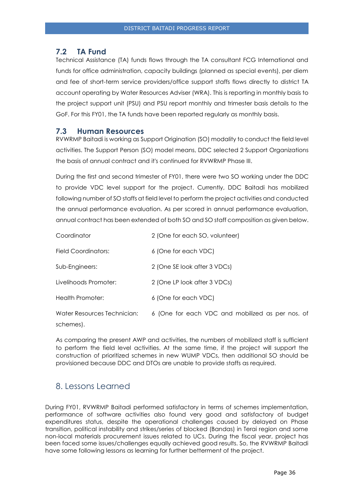## <span id="page-35-0"></span>**7.2 TA Fund**

Technical Assistance (TA) funds flows through the TA consultant FCG International and funds for office administration, capacity buildings (planned as special events), per diem and fee of short-term service providers/office support staffs flows directly to district TA account operating by Water Resources Adviser (WRA). This is reporting in monthly basis to the project support unit (PSU) and PSU report monthly and trimester basis details to the GoF. For this FY01, the TA funds have been reported regularly as monthly basis.

## <span id="page-35-1"></span>**7.3 Human Resources**

RVWRMP Baitadi is working as Support Origination (SO) modality to conduct the field level activities. The Support Person (SO) model means, DDC selected 2 Support Organizations the basis of annual contract and it's continued for RVWRMP Phase III.

During the first and second trimester of FY01, there were two SO working under the DDC to provide VDC level support for the project. Currently, DDC Baitadi has mobilized following number of SO staffs at field level to perform the project activities and conducted the annual performance evaluation. As per scored in annual performance evaluation, annual contract has been extended of both SO and SO staff composition as given below.

| Coordinator                              | 2 (One for each SO, volunteer)                   |
|------------------------------------------|--------------------------------------------------|
| Field Coordinators:                      | 6 (One for each VDC)                             |
| Sub-Engineers:                           | 2 (One SE look after 3 VDCs)                     |
| Livelihoods Promoter:                    | 2 (One LP look after 3 VDCs)                     |
| Health Promoter:                         | 6 (One for each VDC)                             |
| Water Resources Technician:<br>schemes). | 6 (One for each VDC and mobilized as per nos. of |

As comparing the present AWP and activities, the numbers of mobilized staff is sufficient to perform the field level activities. At the same time, if the project will support the construction of prioritized schemes in new WUMP VDCs, then additional SO should be provisioned because DDC and DTOs are unable to provide staffs as required.

# <span id="page-35-2"></span>8. Lessons Learned

During FY01, RVWRMP Baitadi performed satisfactory in terms of schemes implementation, performance of software activities also found very good and satisfactory of budget expenditures status, despite the operational challenges caused by delayed on Phase transition, political instability and strikes/series of blocked (Bandas) in Terai region and some non-local materials procurement issues related to UCs. During the fiscal year, project has been faced some issues/challenges equally achieved good results. So, the RVWRMP Baitadi have some following lessons as learning for further betterment of the project.